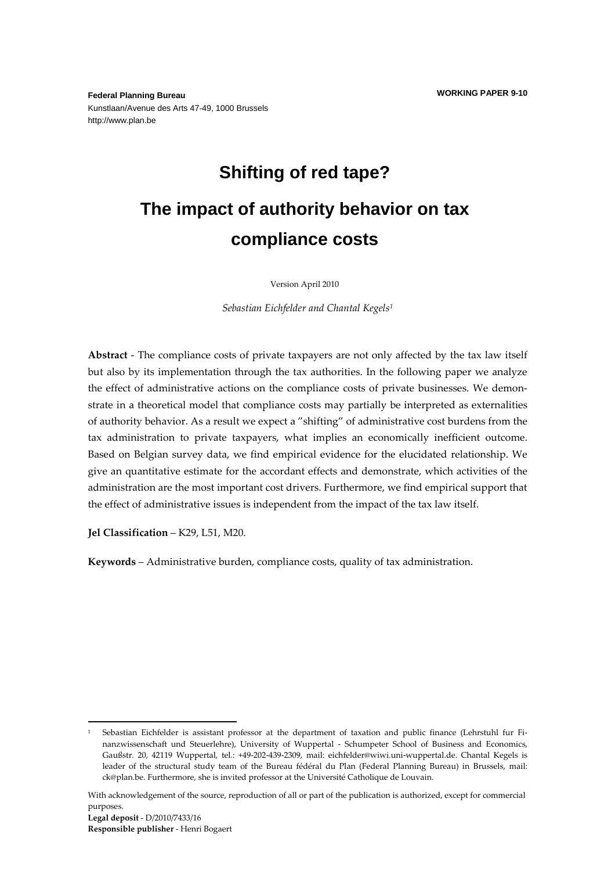**Federal Planning Bureau**  Kunstlaan/Avenue des Arts 47-49, 1000 Brussels http://www.plan.be

# **Shifting of red tape?**

# **The impact of authority behavior on tax compliance costs**

Version April 2010

*Sebastian Eichfelder and Chantal Kegels<sup>1</sup>*

**Abstract** - The compliance costs of private taxpayers are not only affected by the tax law itself but also by its implementation through the tax authorities. In the following paper we analyze the effect of administrative actions on the compliance costs of private businesses. We demonstrate in a theoretical model that compliance costs may partially be interpreted as externalities of authority behavior. As a result we expect a "shifting" of administrative cost burdens from the tax administration to private taxpayers, what implies an economically inefficient outcome. Based on Belgian survey data, we find empirical evidence for the elucidated relationship. We give an quantitative estimate for the accordant effects and demonstrate, which activities of the administration are the most important cost drivers. Furthermore, we find empirical support that the effect of administrative issues is independent from the impact of the tax law itself.

**Jel Classification** – K29, L51, M20.

**Keywords** – Administrative burden, compliance costs, quality of tax administration.

-

<sup>1</sup> Sebastian Eichfelder is assistant professor at the department of taxation and public finance (Lehrstuhl fur Finanzwissenschaft und Steuerlehre), University of Wuppertal - Schumpeter School of Business and Economics, Gaußstr. 20, 42119 Wuppertal, tel.: +49-202-439-2309, mail: eichfelder@wiwi.uni-wuppertal.de. Chantal Kegels is leader of the structural study team of the Bureau fédéral du Plan (Federal Planning Bureau) in Brussels, mail: ck@plan.be. Furthermore, she is invited professor at the Université Catholique de Louvain.

With acknowledgement of the source, reproduction of all or part of the publication is authorized, except for commercial purposes.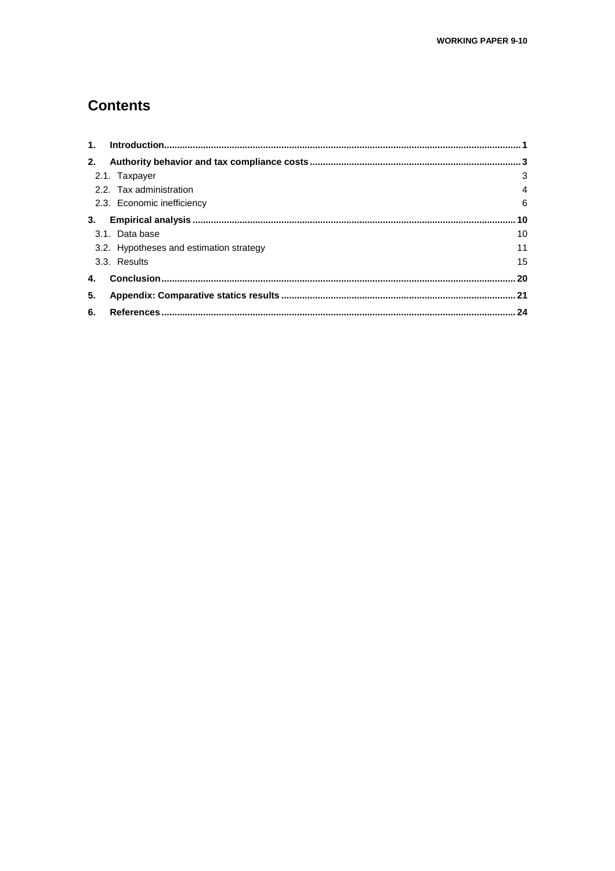# **Contents**

| 1.                                      |    |
|-----------------------------------------|----|
| 2.                                      |    |
| 2.1. Taxpayer                           | 3  |
| 2.2. Tax administration                 | 4  |
| 2.3. Economic inefficiency              | 6  |
| 3.                                      |    |
| 3.1. Data base                          | 10 |
| 3.2. Hypotheses and estimation strategy | 11 |
| 3.3. Results                            | 15 |
|                                         |    |
| 5.                                      |    |
| 6.                                      |    |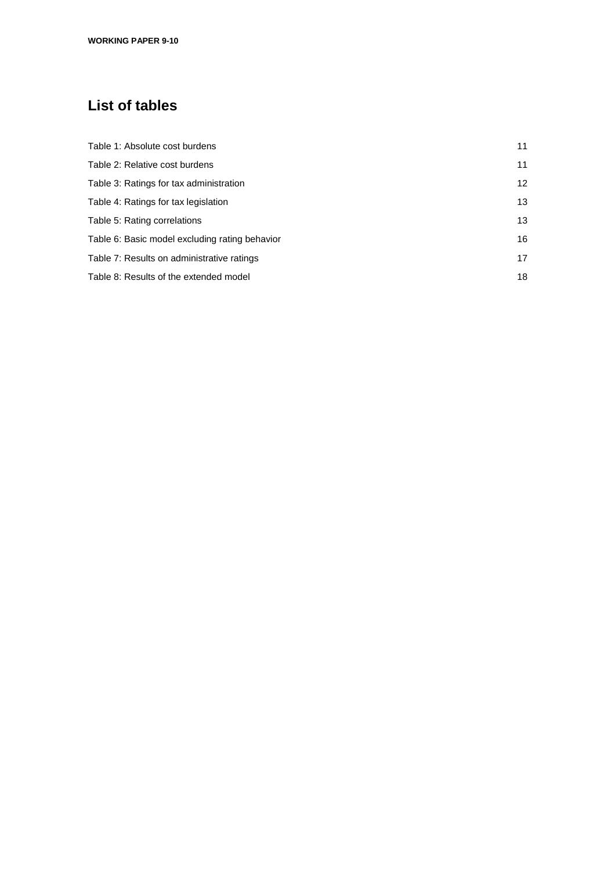# **List of tables**

| Table 1: Absolute cost burdens                 | 11 |
|------------------------------------------------|----|
| Table 2: Relative cost burdens                 | 11 |
| Table 3: Ratings for tax administration        | 12 |
| Table 4: Ratings for tax legislation           | 13 |
| Table 5: Rating correlations                   | 13 |
| Table 6: Basic model excluding rating behavior | 16 |
| Table 7: Results on administrative ratings     | 17 |
| Table 8: Results of the extended model         | 18 |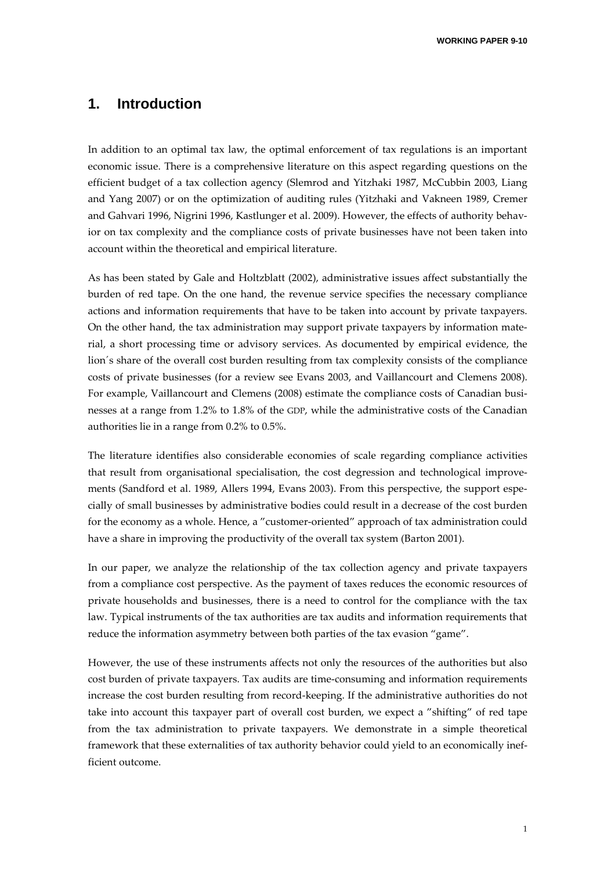**WORKING PAPER 9-10** 

### **1. Introduction**

In addition to an optimal tax law, the optimal enforcement of tax regulations is an important economic issue. There is a comprehensive literature on this aspect regarding questions on the efficient budget of a tax collection agency (Slemrod and Yitzhaki 1987, McCubbin 2003, Liang and Yang 2007) or on the optimization of auditing rules (Yitzhaki and Vakneen 1989, Cremer and Gahvari 1996, Nigrini 1996, Kastlunger et al. 2009). However, the effects of authority behavior on tax complexity and the compliance costs of private businesses have not been taken into account within the theoretical and empirical literature.

As has been stated by Gale and Holtzblatt (2002), administrative issues affect substantially the burden of red tape. On the one hand, the revenue service specifies the necessary compliance actions and information requirements that have to be taken into account by private taxpayers. On the other hand, the tax administration may support private taxpayers by information material, a short processing time or advisory services. As documented by empirical evidence, the lion´s share of the overall cost burden resulting from tax complexity consists of the compliance costs of private businesses (for a review see Evans 2003, and Vaillancourt and Clemens 2008). For example, Vaillancourt and Clemens (2008) estimate the compliance costs of Canadian businesses at a range from 1.2% to 1.8% of the GDP, while the administrative costs of the Canadian authorities lie in a range from 0.2% to 0.5%.

The literature identifies also considerable economies of scale regarding compliance activities that result from organisational specialisation, the cost degression and technological improvements (Sandford et al. 1989, Allers 1994, Evans 2003). From this perspective, the support especially of small businesses by administrative bodies could result in a decrease of the cost burden for the economy as a whole. Hence, a "customer-oriented" approach of tax administration could have a share in improving the productivity of the overall tax system (Barton 2001).

In our paper, we analyze the relationship of the tax collection agency and private taxpayers from a compliance cost perspective. As the payment of taxes reduces the economic resources of private households and businesses, there is a need to control for the compliance with the tax law. Typical instruments of the tax authorities are tax audits and information requirements that reduce the information asymmetry between both parties of the tax evasion "game".

However, the use of these instruments affects not only the resources of the authorities but also cost burden of private taxpayers. Tax audits are time-consuming and information requirements increase the cost burden resulting from record-keeping. If the administrative authorities do not take into account this taxpayer part of overall cost burden, we expect a "shifting" of red tape from the tax administration to private taxpayers. We demonstrate in a simple theoretical framework that these externalities of tax authority behavior could yield to an economically inefficient outcome.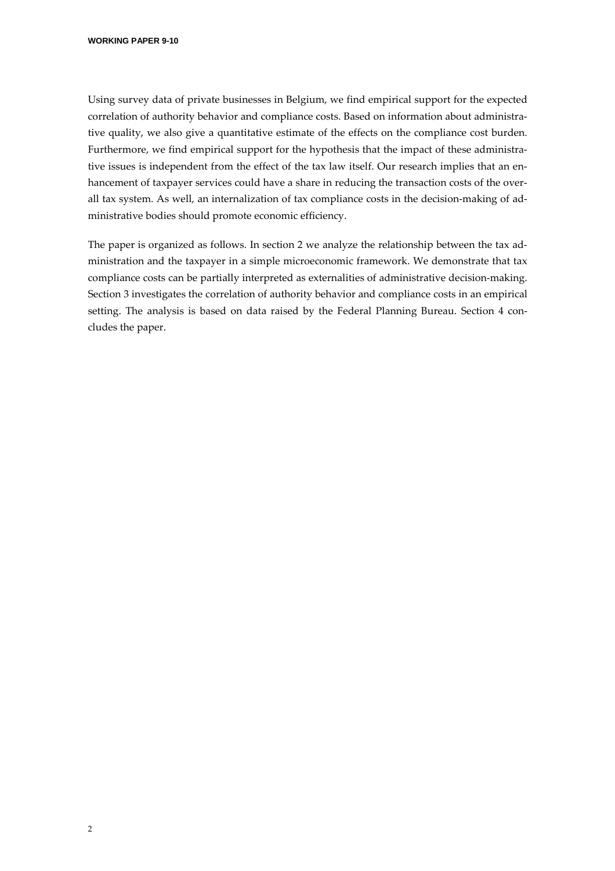Using survey data of private businesses in Belgium, we find empirical support for the expected correlation of authority behavior and compliance costs. Based on information about administrative quality, we also give a quantitative estimate of the effects on the compliance cost burden. Furthermore, we find empirical support for the hypothesis that the impact of these administrative issues is independent from the effect of the tax law itself. Our research implies that an enhancement of taxpayer services could have a share in reducing the transaction costs of the overall tax system. As well, an internalization of tax compliance costs in the decision-making of administrative bodies should promote economic efficiency.

The paper is organized as follows. In section 2 we analyze the relationship between the tax administration and the taxpayer in a simple microeconomic framework. We demonstrate that tax compliance costs can be partially interpreted as externalities of administrative decision-making. Section 3 investigates the correlation of authority behavior and compliance costs in an empirical setting. The analysis is based on data raised by the Federal Planning Bureau. Section 4 concludes the paper.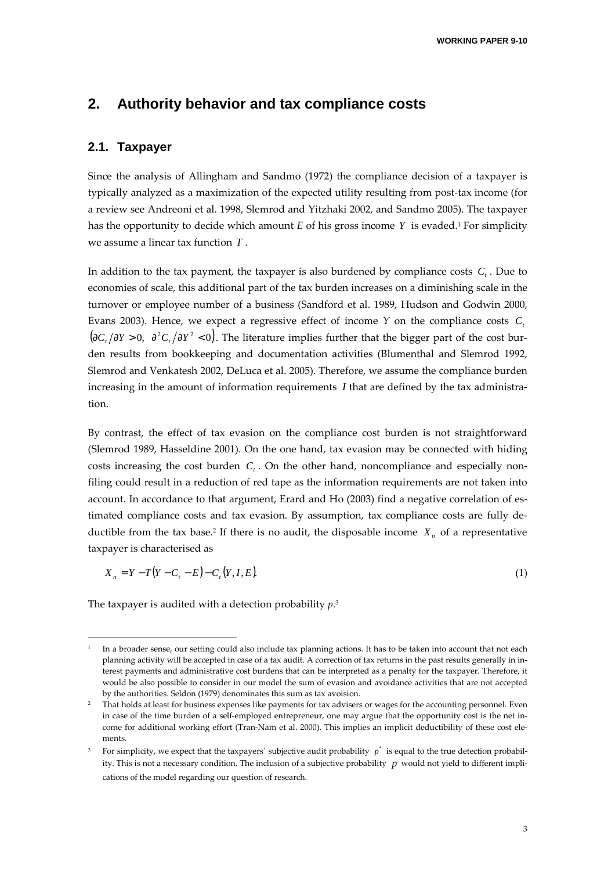### **2. Authority behavior and tax compliance costs**

#### **2.1. Taxpayer**

Since the analysis of Allingham and Sandmo (1972) the compliance decision of a taxpayer is typically analyzed as a maximization of the expected utility resulting from post-tax income (for a review see Andreoni et al. 1998, Slemrod and Yitzhaki 2002, and Sandmo 2005). The taxpayer has the opportunity to decide which amount *E* of his gross income *Y* is evaded.<sup>1</sup> For simplicity we assume a linear tax function *T* .

In addition to the tax payment, the taxpayer is also burdened by compliance costs  $C<sub>t</sub>$ . Due to economies of scale, this additional part of the tax burden increases on a diminishing scale in the turnover or employee number of a business (Sandford et al. 1989, Hudson and Godwin 2000, Evans 2003). Hence, we expect a regressive effect of income  $Y$  on the compliance costs  $C<sub>t</sub>$  $(\partial C_i/\partial Y > 0, \partial^2 C_i/\partial Y^2 < 0)$ . The literature implies further that the bigger part of the cost burden results from bookkeeping and documentation activities (Blumenthal and Slemrod 1992, Slemrod and Venkatesh 2002, DeLuca et al. 2005). Therefore, we assume the compliance burden increasing in the amount of information requirements *I* that are defined by the tax administration.

By contrast, the effect of tax evasion on the compliance cost burden is not straightforward (Slemrod 1989, Hasseldine 2001). On the one hand, tax evasion may be connected with hiding costs increasing the cost burden  $C<sub>t</sub>$ . On the other hand, noncompliance and especially nonfiling could result in a reduction of red tape as the information requirements are not taken into account. In accordance to that argument, Erard and Ho (2003) find a negative correlation of estimated compliance costs and tax evasion. By assumption, tax compliance costs are fully deductible from the tax base.<sup>2</sup> If there is no audit, the disposable income  $X<sub>n</sub>$  of a representative taxpayer is characterised as

$$
X_n = Y - T(Y - C_t - E) - C_t(Y, I, E).
$$
\n(1)

The taxpayer is audited with a detection probability *p*. 3

-

<sup>1</sup> In a broader sense, our setting could also include tax planning actions. It has to be taken into account that not each planning activity will be accepted in case of a tax audit. A correction of tax returns in the past results generally in interest payments and administrative cost burdens that can be interpreted as a penalty for the taxpayer. Therefore, it would be also possible to consider in our model the sum of evasion and avoidance activities that are not accepted by the authorities. Seldon (1979) denominates this sum as tax avoision.

<sup>&</sup>lt;sup>2</sup> That holds at least for business expenses like payments for tax advisers or wages for the accounting personnel. Even in case of the time burden of a self-employed entrepreneur, one may argue that the opportunity cost is the net income for additional working effort (Tran-Nam et al. 2000). This implies an implicit deductibility of these cost elements.

<sup>&</sup>lt;sup>3</sup> For simplicity, we expect that the taxpayers' subjective audit probability  $p^*$  is equal to the true detection probability. This is not a necessary condition. The inclusion of a subjective probability *p* would not yield to different implications of the model regarding our question of research.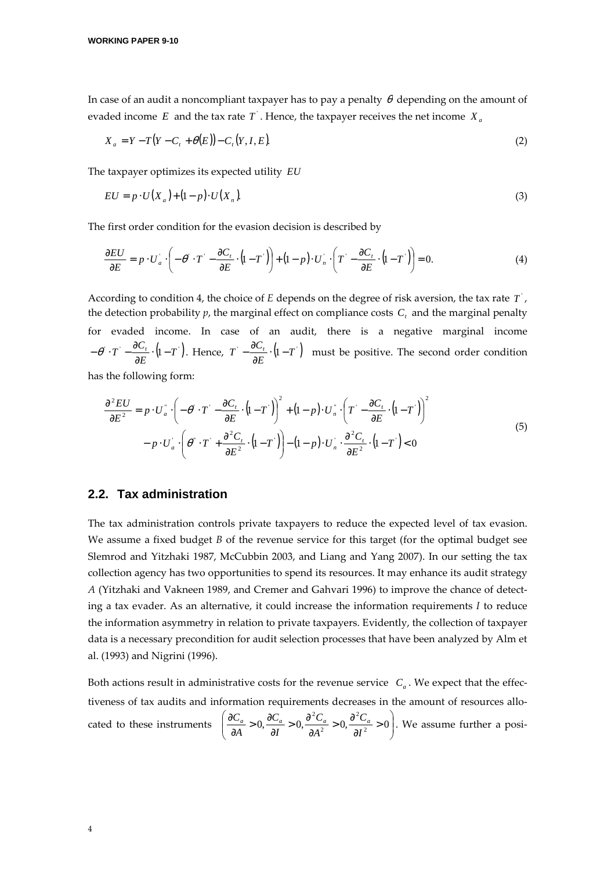In case of an audit a noncompliant taxpayer has to pay a penalty  $\theta$  depending on the amount of evaded income  $E$  and the tax rate  $T$  . Hence, the taxpayer receives the net income  $X_a$ 

$$
X_a = Y - T(Y - C_t + \theta(E)) - C_t(Y, I, E).
$$
\n(2)

The taxpayer optimizes its expected utility *EU*

$$
EU = p \cdot U(X_a) + (1 - p) \cdot U(X_n). \tag{3}
$$

The first order condition for the evasion decision is described by

$$
\frac{\partial EU}{\partial E} = p \cdot U_a \cdot \left( -\theta \cdot T \cdot -\frac{\partial C_t}{\partial E} \cdot (1 - T) \right) + (1 - p) \cdot U_n \cdot \left( T \cdot -\frac{\partial C_t}{\partial E} \cdot (1 - T) \right) = 0. \tag{4}
$$

According to condition 4, the choice of  $E$  depends on the degree of risk aversion, the tax rate  $T$ <sup>'</sup>, the detection probability  $p$ , the marginal effect on compliance costs  $C<sub>t</sub>$  and the marginal penalty for evaded income. In case of an audit, there is a negative marginal income  $\cdot T - \frac{\partial C_t}{\partial E} \cdot (1 - T)$  $T \cdot -\frac{\partial C_t}{\partial E} \cdot (1 -\theta \cdot T - \frac{\partial C_i}{\partial E} \cdot (1 - T)$ . Hence,  $T - \frac{\partial C_i}{\partial E} \cdot (1 - T)$  $T \cdot -\frac{\partial C_t}{\partial E} \cdot (1 -\frac{\partial C_i}{\partial \mathbf{r}} \cdot (\mathbf{l} - \mathbf{T})$  must be positive. The second order condition

has the following form:

$$
\frac{\partial^2 EU}{\partial E^2} = p \cdot U_a^{\dagger} \cdot \left( -\theta^{\dagger} \cdot T - \frac{\partial C_t}{\partial E} \cdot (1 - T) \right)^2 + (1 - p) \cdot U_n^{\dagger} \cdot \left( T - \frac{\partial C_t}{\partial E} \cdot (1 - T) \right)^2
$$
  

$$
- p \cdot U_a^{\dagger} \cdot \left( \theta^{\dagger} \cdot T + \frac{\partial^2 C_t}{\partial E^2} \cdot (1 - T) \right) - (1 - p) \cdot U_n^{\dagger} \cdot \frac{\partial^2 C_t}{\partial E^2} \cdot (1 - T) < 0
$$
 (5)

#### **2.2. Tax administration**

The tax administration controls private taxpayers to reduce the expected level of tax evasion. We assume a fixed budget *B* of the revenue service for this target (for the optimal budget see Slemrod and Yitzhaki 1987, McCubbin 2003, and Liang and Yang 2007). In our setting the tax collection agency has two opportunities to spend its resources. It may enhance its audit strategy *A* (Yitzhaki and Vakneen 1989, and Cremer and Gahvari 1996) to improve the chance of detecting a tax evader. As an alternative, it could increase the information requirements *I* to reduce the information asymmetry in relation to private taxpayers. Evidently, the collection of taxpayer data is a necessary precondition for audit selection processes that have been analyzed by Alm et al. (1993) and Nigrini (1996).

Both actions result in administrative costs for the revenue service  $C_a$ . We expect that the effectiveness of tax audits and information requirements decreases in the amount of resources allocated to these instruments  $\left| \frac{\partial C_a}{\partial A} > 0, \frac{\partial C_a}{\partial I} > 0, \frac{\partial C_a}{\partial I^2} > 0, \frac{\partial C_a}{\partial I^2} > 0 \right|$ J  $\backslash$  $\overline{\phantom{a}}$ l ſ > ∂  $> 0, \frac{\partial}{\partial x}$ ∂  $\frac{\partial C_a}{\partial I} > 0, \frac{\partial}{\partial I}$  $\frac{\partial C_a}{\partial A} > 0, \frac{\partial C_a}{\partial A}$  $\frac{\partial C_a}{\partial A} > 0, \frac{\partial C_a}{\partial I} > 0, \frac{\partial^2 C_a}{\partial A^2} > 0, \frac{\partial^2 C_a}{\partial I^2} > 0$ 2 2 2 *I C A C I C A*  $\frac{C_a}{C_d}$  > 0,  $\frac{\partial^2 C_a}{\partial x^2}$  > 0,  $\frac{\partial^2 C_a}{\partial x^2}$  > 0). We assume further a posi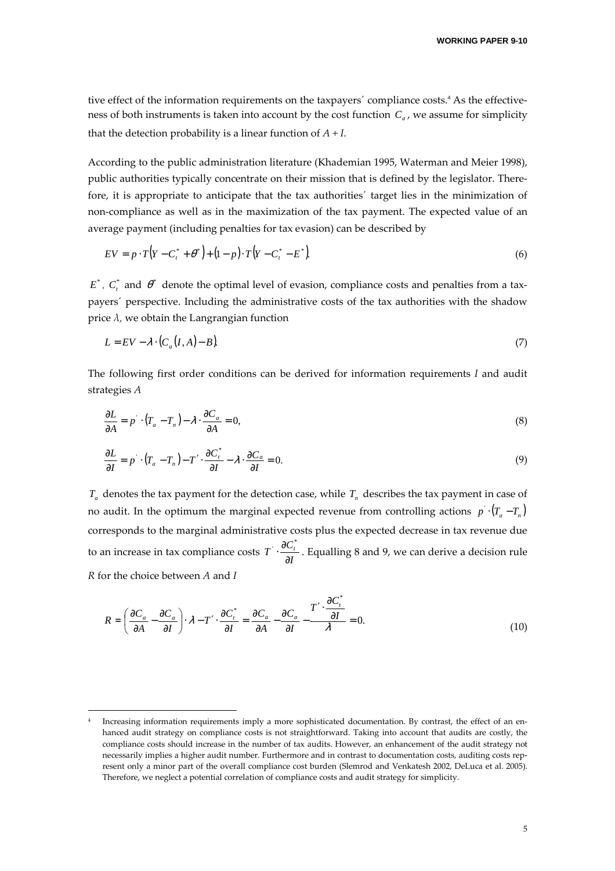tive effect of the information requirements on the taxpayers' compliance costs.<sup>4</sup> As the effectiveness of both instruments is taken into account by the cost function *C<sup>a</sup>* , we assume for simplicity that the detection probability is a linear function of *A + I*.

According to the public administration literature (Khademian 1995, Waterman and Meier 1998), public authorities typically concentrate on their mission that is defined by the legislator. Therefore, it is appropriate to anticipate that the tax authorities´ target lies in the minimization of non-compliance as well as in the maximization of the tax payment. The expected value of an average payment (including penalties for tax evasion) can be described by

$$
EV = p \cdot T\left(Y - C_t^* + \theta^*\right) + (1 - p) \cdot T\left(Y - C_t^* - E^*\right) \tag{6}
$$

 $E^*$ ,  $C_t^*$  and  $\theta^*$  denote the optimal level of evasion, compliance costs and penalties from a taxpayers´ perspective. Including the administrative costs of the tax authorities with the shadow price *λ,* we obtain the Langrangian function

$$
L = EV - \lambda \cdot (C_a(I, A) - B). \tag{7}
$$

The following first order conditions can be derived for information requirements *I* and audit strategies *A*

$$
\frac{\partial L}{\partial A} = p \cdot (T_a - T_n) - \lambda \cdot \frac{\partial C_a}{\partial A} = 0,
$$
\n(8)

$$
\frac{\partial L}{\partial I} = p \cdot (T_a - T_n) - T' \cdot \frac{\partial C_i^*}{\partial I} - \lambda \cdot \frac{\partial C_a}{\partial I} = 0.
$$
\n(9)

*Ta* denotes the tax payment for the detection case, while *T<sup>n</sup>* describes the tax payment in case of no audit. In the optimum the marginal expected revenue from controlling actions  $p' \cdot (T_a - T_n)$ corresponds to the marginal administrative costs plus the expected decrease in tax revenue due to an increase in tax compliance costs  $T \cdot \frac{1}{\partial l}$  $T \frac{\partial C_i}{\partial t}$ ∂  $\cdot \frac{\partial}{\partial x}$  $\cdot \frac{\partial C_i^*}{\partial x}$ . Equalling 8 and 9, we can derive a decision rule *R* for the choice between *A* and *I*

$$
R = \left(\frac{\partial C_a}{\partial A} - \frac{\partial C_a}{\partial I}\right) \cdot \lambda - T' \cdot \frac{\partial C_t^*}{\partial I} = \frac{\partial C_a}{\partial A} - \frac{\partial C_a}{\partial I} - \frac{T' \cdot \frac{\partial C_t^*}{\partial I}}{\lambda} = 0.
$$
\n(10)

j

<sup>4</sup> Increasing information requirements imply a more sophisticated documentation. By contrast, the effect of an enhanced audit strategy on compliance costs is not straightforward. Taking into account that audits are costly, the compliance costs should increase in the number of tax audits. However, an enhancement of the audit strategy not necessarily implies a higher audit number. Furthermore and in contrast to documentation costs, auditing costs represent only a minor part of the overall compliance cost burden (Slemrod and Venkatesh 2002, DeLuca et al. 2005). Therefore, we neglect a potential correlation of compliance costs and audit strategy for simplicity.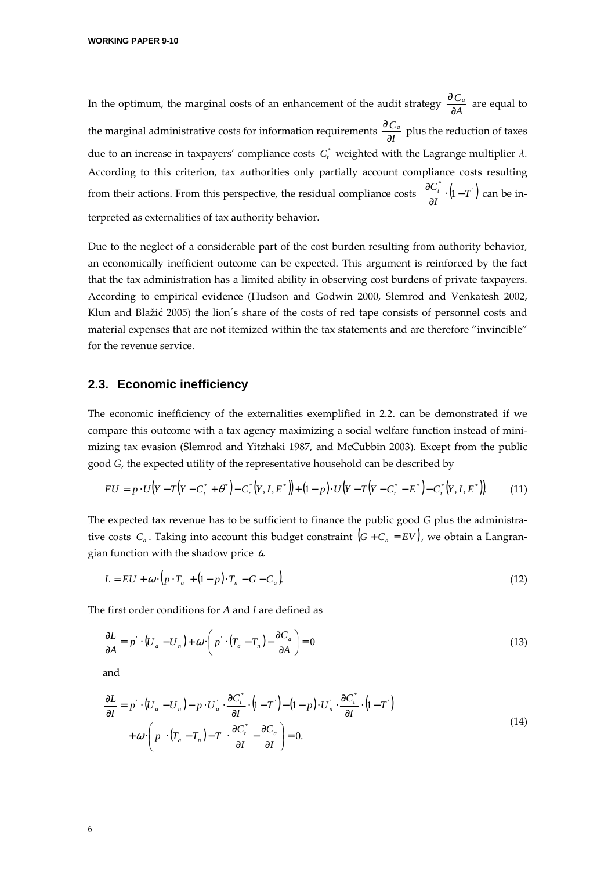In the optimum, the marginal costs of an enhancement of the audit strategy  $\frac{dE}{dA}$ *C<sup>a</sup>* ∂  $\frac{\partial C_a}{\partial t}$  are equal to the marginal administrative costs for information requirements  $\frac{\infty}{\partial l}$ *C<sup>a</sup>* ∂  $\frac{\partial C_a}{\partial \lambda}$  plus the reduction of taxes due to an increase in taxpayers' compliance costs  $C_t^*$  weighted with the Lagrange multiplier  $\lambda$ . According to this criterion, tax authorities only partially account compliance costs resulting from their actions. From this perspective, the residual compliance costs  $\frac{\partial C_i^*}{\partial \mathbf{r}} \cdot (\mathbf{l} - \mathbf{T})$  $\frac{r}{I} \cdot (1-T)$  $\frac{\partial C_t^*}{\partial I} \cdot \left(1 - \right)$  $\frac{\partial C_i^*}{\partial x}$  ·  $(1-T)$  can be interpreted as externalities of tax authority behavior.

Due to the neglect of a considerable part of the cost burden resulting from authority behavior, an economically inefficient outcome can be expected. This argument is reinforced by the fact that the tax administration has a limited ability in observing cost burdens of private taxpayers. According to empirical evidence (Hudson and Godwin 2000, Slemrod and Venkatesh 2002, Klun and Blažić 2005) the lion´s share of the costs of red tape consists of personnel costs and material expenses that are not itemized within the tax statements and are therefore "invincible" for the revenue service.

#### **2.3. Economic inefficiency**

The economic inefficiency of the externalities exemplified in 2.2. can be demonstrated if we compare this outcome with a tax agency maximizing a social welfare function instead of minimizing tax evasion (Slemrod and Yitzhaki 1987, and McCubbin 2003). Except from the public good *G*, the expected utility of the representative household can be described by

$$
EU = p \cdot U(Y - T(Y - C_t^* + \theta^*) - C_t^*(Y, I, E^*)) + (1 - p) \cdot U(Y - T(Y - C_t^* - E^*) - C_t^*(Y, I, E^*)) \tag{11}
$$

The expected tax revenue has to be sufficient to finance the public good *G* plus the administrative costs  $C_a$ . Taking into account this budget constraint  $(G + C_a = EV)$ , we obtain a Langrangian function with the shadow price  $\omega$ 

$$
L = EU + \omega \cdot (p \cdot T_a + (1-p) \cdot T_n - G - C_a)
$$
\n
$$
(12)
$$

The first order conditions for *A* and *I* are defined as

$$
\frac{\partial L}{\partial A} = p \cdot (U_a - U_n) + \omega \cdot \left( p \cdot (T_a - T_n) - \frac{\partial C_a}{\partial A} \right) = 0 \tag{13}
$$

and

$$
\frac{\partial L}{\partial I} = p \cdot (U_a - U_n) - p \cdot U_a \cdot \frac{\partial C_i^*}{\partial I} \cdot (1 - T) - (1 - p) \cdot U_n \cdot \frac{\partial C_i^*}{\partial I} \cdot (1 - T)
$$
\n
$$
+ \omega \cdot \left( p \cdot (T_a - T_n) - T \cdot \frac{\partial C_i^*}{\partial I} - \frac{\partial C_a}{\partial I} \right) = 0.
$$
\n(14)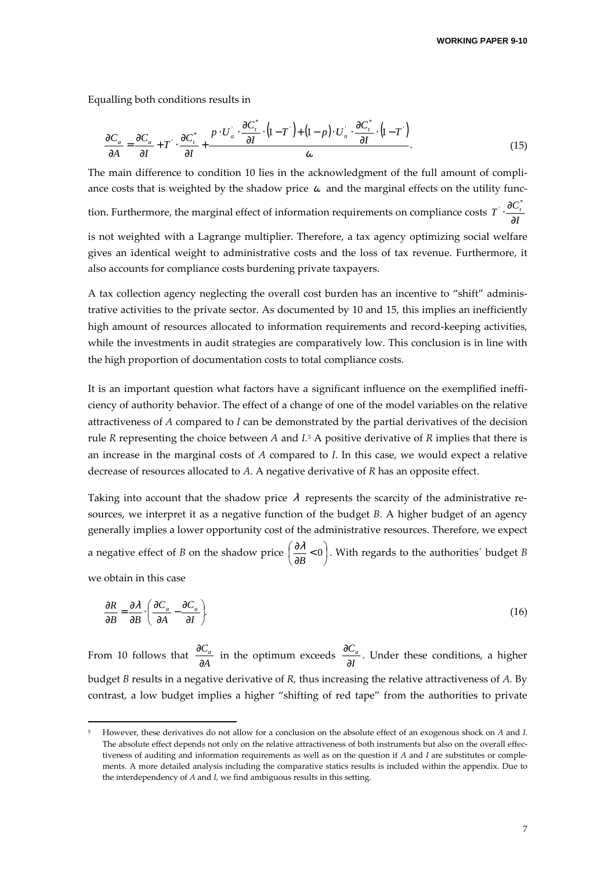Equalling both conditions results in

$$
\frac{\partial C_a}{\partial A} = \frac{\partial C_a}{\partial I} + T \cdot \frac{\partial C_t^*}{\partial I} + \frac{P \cdot U_a \cdot \frac{\partial C_t^*}{\partial I} \cdot (1 - T \cdot) + (1 - p) \cdot U_n \cdot \frac{\partial C_t^*}{\partial I} \cdot (1 - T \cdot)}{\omega}.
$$
(15)

The main difference to condition 10 lies in the acknowledgment of the full amount of compliance costs that is weighted by the shadow price  $\omega$  and the marginal effects on the utility function. Furthermore, the marginal effect of information requirements on compliance costs  $T \cdot \frac{\infty}{\partial l}$  $T \cdot \frac{\partial C_i}{\partial T}$ ∂  $\cdot \frac{\partial C_t^*}{\partial x}$ is not weighted with a Lagrange multiplier. Therefore, a tax agency optimizing social welfare gives an identical weight to administrative costs and the loss of tax revenue. Furthermore, it

A tax collection agency neglecting the overall cost burden has an incentive to "shift" administrative activities to the private sector. As documented by 10 and 15, this implies an inefficiently high amount of resources allocated to information requirements and record-keeping activities, while the investments in audit strategies are comparatively low. This conclusion is in line with the high proportion of documentation costs to total compliance costs.

also accounts for compliance costs burdening private taxpayers.

It is an important question what factors have a significant influence on the exemplified inefficiency of authority behavior. The effect of a change of one of the model variables on the relative attractiveness of *A* compared to *I* can be demonstrated by the partial derivatives of the decision rule *R* representing the choice between *A* and *I.*<sup>5</sup> A positive derivative of *R* implies that there is an increase in the marginal costs of *A* compared to *I*. In this case, we would expect a relative decrease of resources allocated to *A*. A negative derivative of *R* has an opposite effect.

Taking into account that the shadow price  $\lambda$  represents the scarcity of the administrative resources, we interpret it as a negative function of the budget *B*. A higher budget of an agency generally implies a lower opportunity cost of the administrative resources. Therefore, we expect a negative effect of *B* on the shadow price  $\left(\frac{\partial \lambda}{\partial B} < 0\right)$  $\left(\frac{\partial \lambda}{\partial t}<0\right)$ l  $\left(\frac{\partial \mathcal{A}}{\partial B} < \right)$  $\frac{\partial \lambda}{\partial B}$  < 0  $\left(\frac{\lambda}{\lambda} < 0\right)$ . With regards to the authorities´ budget *B* 

we obtain in this case

-

$$
\frac{\partial R}{\partial B} = \frac{\partial \lambda}{\partial B} \cdot \left( \frac{\partial C_a}{\partial A} - \frac{\partial C_a}{\partial I} \right). \tag{16}
$$

From 10 follows that  $\frac{d^{2}C}{dA}$ *Ca* ∂  $\frac{\partial C_a}{\partial A}$  in the optimum exceeds  $\frac{\partial C_a}{\partial I}$ *Ca* ∂  $\frac{\partial C_a}{\partial x}$ . Under these conditions, a higher budget *B* results in a negative derivative of *R,* thus increasing the relative attractiveness of *A.* By contrast, a low budget implies a higher "shifting of red tape" from the authorities to private

<sup>5</sup> However, these derivatives do not allow for a conclusion on the absolute effect of an exogenous shock on *A* and *I*. The absolute effect depends not only on the relative attractiveness of both instruments but also on the overall effectiveness of auditing and information requirements as well as on the question if *A* and *I* are substitutes or complements. A more detailed analysis including the comparative statics results is included within the appendix. Due to the interdependency of *A* and *I,* we find ambiguous results in this setting.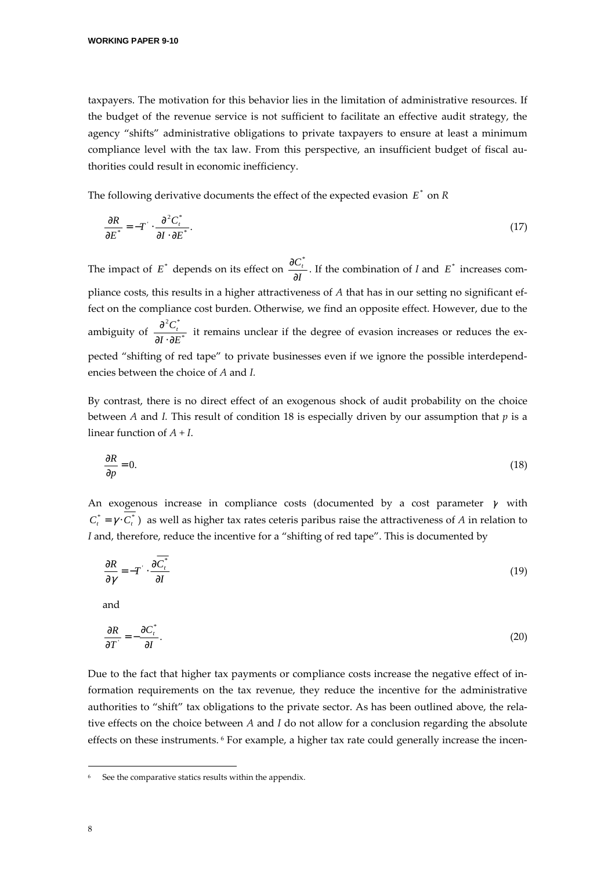taxpayers. The motivation for this behavior lies in the limitation of administrative resources. If the budget of the revenue service is not sufficient to facilitate an effective audit strategy, the agency "shifts" administrative obligations to private taxpayers to ensure at least a minimum compliance level with the tax law. From this perspective, an insufficient budget of fiscal authorities could result in economic inefficiency.

The following derivative documents the effect of the expected evasion  $E^*$  on  $R$ 

$$
\frac{\partial R}{\partial E^*} = -T \cdot \frac{\partial^2 C_t^*}{\partial I \cdot \partial E^*}.\tag{17}
$$

The impact of  $E^*$  depends on its effect on  $\frac{\partial C}{\partial I}$  $C_t$ ∂  $\frac{\partial C_i^*}{\partial \mathbf{r}}$ . If the combination of *I* and  $E^*$  increases compliance costs, this results in a higher attractiveness of *A* that has in our setting no significant effect on the compliance cost burden. Otherwise, we find an opposite effect. However, due to the ambiguity of  $\frac{\partial^2 f}{\partial I \cdot \partial F^*}$  $2\alpha^*$  $I \cdot \partial E$  $C_t^{\dagger}$ ∂⋅∂  $\frac{\partial^2 C_i^*}{\partial \Sigma_{\sigma}^*}$  it remains unclear if the degree of evasion increases or reduces the expected "shifting of red tape" to private businesses even if we ignore the possible interdependencies between the choice of *A* and *I.*

By contrast, there is no direct effect of an exogenous shock of audit probability on the choice between *A* and *I.* This result of condition 18 is especially driven by our assumption that *p* is a linear function of *A + I*.

$$
\frac{\partial R}{\partial p} = 0.\tag{18}
$$

An exogenous increase in compliance costs (documented by a cost parameter  $\gamma$  with  $C_t^* = \gamma \cdot C_t^*$ ) as well as higher tax rates ceteris paribus raise the attractiveness of *A* in relation to *I* and, therefore, reduce the incentive for a "shifting of red tape". This is documented by

$$
\frac{\partial R}{\partial \gamma} = -T \cdot \frac{\partial C_t^*}{\partial I} \tag{19}
$$

and

$$
\frac{\partial R}{\partial T} = -\frac{\partial C_t^*}{\partial I}.\tag{20}
$$

Due to the fact that higher tax payments or compliance costs increase the negative effect of information requirements on the tax revenue, they reduce the incentive for the administrative authorities to "shift" tax obligations to the private sector. As has been outlined above, the relative effects on the choice between *A* and *I* do not allow for a conclusion regarding the absolute effects on these instruments. <sup>6</sup> For example, a higher tax rate could generally increase the incen-

j

<sup>6</sup> See the comparative statics results within the appendix.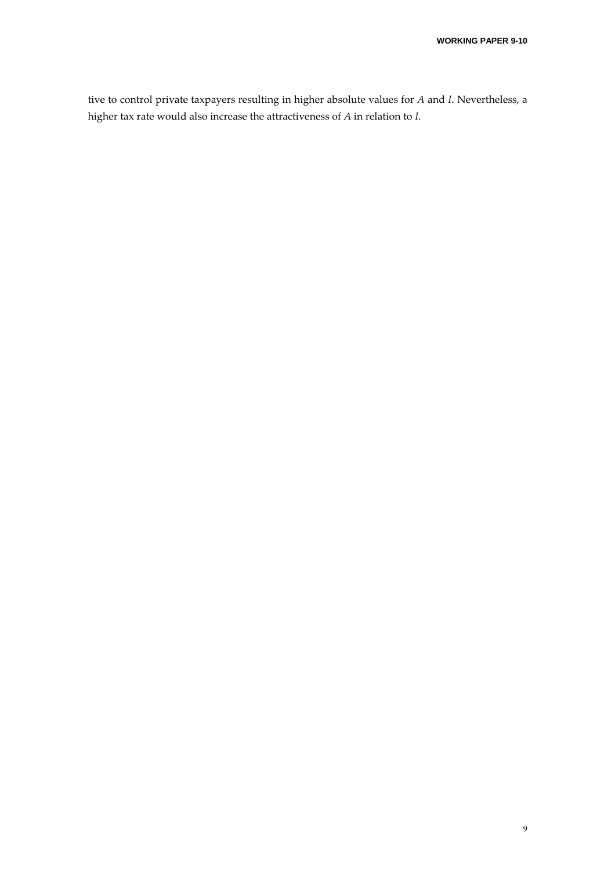tive to control private taxpayers resulting in higher absolute values for *A* and *I*. Nevertheless, a higher tax rate would also increase the attractiveness of *A* in relation to *I*.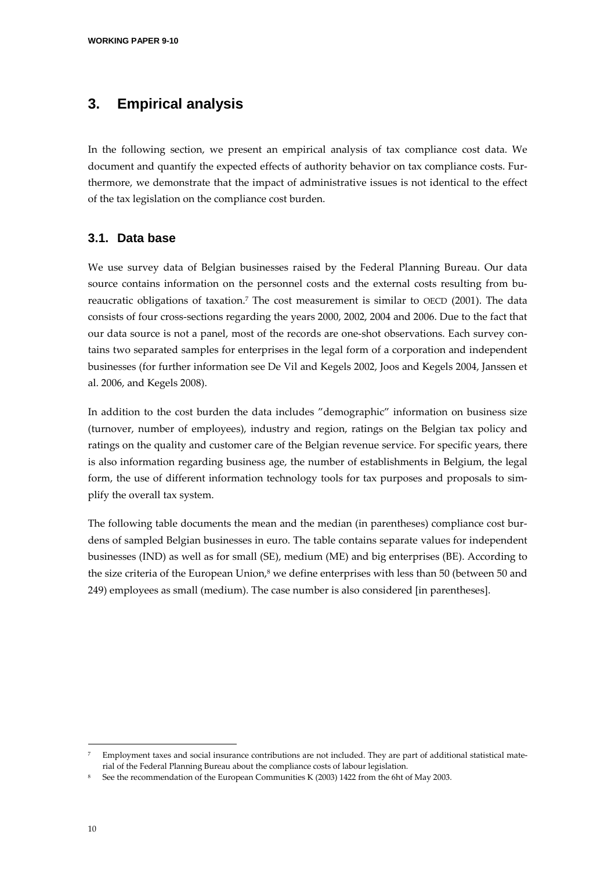# **3. Empirical analysis**

In the following section, we present an empirical analysis of tax compliance cost data. We document and quantify the expected effects of authority behavior on tax compliance costs. Furthermore, we demonstrate that the impact of administrative issues is not identical to the effect of the tax legislation on the compliance cost burden.

### **3.1. Data base**

We use survey data of Belgian businesses raised by the Federal Planning Bureau. Our data source contains information on the personnel costs and the external costs resulting from bureaucratic obligations of taxation.<sup>7</sup> The cost measurement is similar to OECD (2001). The data consists of four cross-sections regarding the years 2000, 2002, 2004 and 2006. Due to the fact that our data source is not a panel, most of the records are one-shot observations. Each survey contains two separated samples for enterprises in the legal form of a corporation and independent businesses (for further information see De Vil and Kegels 2002, Joos and Kegels 2004, Janssen et al. 2006, and Kegels 2008).

In addition to the cost burden the data includes "demographic" information on business size (turnover, number of employees), industry and region, ratings on the Belgian tax policy and ratings on the quality and customer care of the Belgian revenue service. For specific years, there is also information regarding business age, the number of establishments in Belgium, the legal form, the use of different information technology tools for tax purposes and proposals to simplify the overall tax system.

The following table documents the mean and the median (in parentheses) compliance cost burdens of sampled Belgian businesses in euro. The table contains separate values for independent businesses (IND) as well as for small (SE), medium (ME) and big enterprises (BE). According to the size criteria of the European Union,<sup>8</sup> we define enterprises with less than 50 (between 50 and 249) employees as small (medium). The case number is also considered [in parentheses].

-

<sup>7</sup> Employment taxes and social insurance contributions are not included. They are part of additional statistical material of the Federal Planning Bureau about the compliance costs of labour legislation.

<sup>8</sup> See the recommendation of the European Communities K (2003) 1422 from the 6ht of May 2003.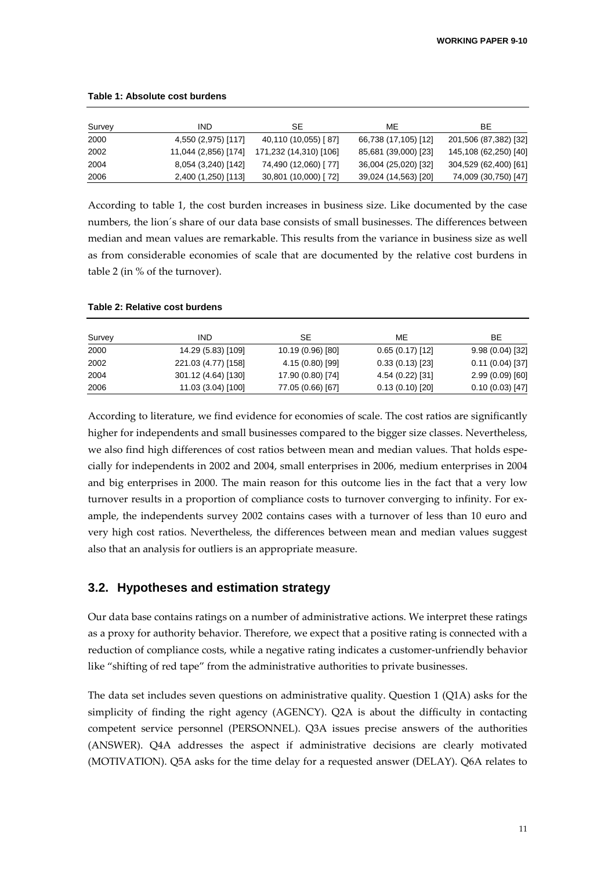| Survey | IND.                 | SE                     | ME                   | BE.                   |
|--------|----------------------|------------------------|----------------------|-----------------------|
| 2000   | 4,550 (2,975) [117]  | 40,110 (10,055) [87]   | 66,738 (17,105) [12] | 201,506 (87,382) [32] |
| 2002   | 11,044 (2,856) [174] | 171,232 (14,310) [106] | 85,681 (39,000) [23] | 145,108 (62,250) [40] |
| 2004   | 8,054 (3,240) [142]  | 74,490 (12,060) [77]   | 36,004 (25,020) [32] | 304,529 (62,400) [61] |
| 2006   | 2,400 (1,250) [113]  | 30,801 (10,000) [72]   | 39,024 (14,563) [20] | 74,009 (30,750) [47]  |

#### **Table 1: Absolute cost burdens**

According to table 1, the cost burden increases in business size. Like documented by the case numbers, the lion´s share of our data base consists of small businesses. The differences between median and mean values are remarkable. This results from the variance in business size as well as from considerable economies of scale that are documented by the relative cost burdens in table 2 (in % of the turnover).

#### **Table 2: Relative cost burdens**

| Survey | IND                 | SE                | МE               | BE.               |
|--------|---------------------|-------------------|------------------|-------------------|
| 2000   | 14.29 (5.83) [109]  | 10.19 (0.96) [80] | 0.65(0.17)[12]   | 9.98(0.04)[32]    |
| 2002   | 221.03 (4.77) [158] | 4.15 (0.80) [99]  | 0.33(0.13)[23]   | $0.11(0.04)$ [37] |
| 2004   | 301.12 (4.64) [130] | 17.90 (0.80) [74] | 4.54 (0.22) [31] | 2.99(0.09)[60]    |
| 2006   | 11.03 (3.04) [100]  | 77.05 (0.66) [67] | 0.13(0.10)[20]   | 0.10(0.03)[47]    |

According to literature, we find evidence for economies of scale. The cost ratios are significantly higher for independents and small businesses compared to the bigger size classes. Nevertheless, we also find high differences of cost ratios between mean and median values. That holds especially for independents in 2002 and 2004, small enterprises in 2006, medium enterprises in 2004 and big enterprises in 2000. The main reason for this outcome lies in the fact that a very low turnover results in a proportion of compliance costs to turnover converging to infinity. For example, the independents survey 2002 contains cases with a turnover of less than 10 euro and very high cost ratios. Nevertheless, the differences between mean and median values suggest also that an analysis for outliers is an appropriate measure.

#### **3.2. Hypotheses and estimation strategy**

Our data base contains ratings on a number of administrative actions. We interpret these ratings as a proxy for authority behavior. Therefore, we expect that a positive rating is connected with a reduction of compliance costs, while a negative rating indicates a customer-unfriendly behavior like "shifting of red tape" from the administrative authorities to private businesses.

The data set includes seven questions on administrative quality. Question 1 (Q1A) asks for the simplicity of finding the right agency (AGENCY). Q2A is about the difficulty in contacting competent service personnel (PERSONNEL). Q3A issues precise answers of the authorities (ANSWER). Q4A addresses the aspect if administrative decisions are clearly motivated (MOTIVATION). Q5A asks for the time delay for a requested answer (DELAY). Q6A relates to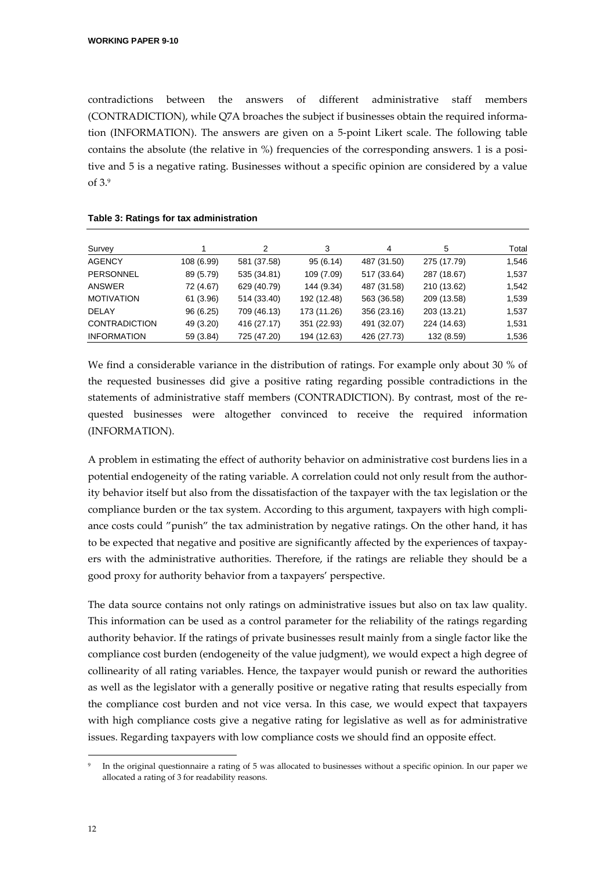contradictions between the answers of different administrative staff members (CONTRADICTION), while Q7A broaches the subject if businesses obtain the required information (INFORMATION). The answers are given on a 5-point Likert scale. The following table contains the absolute (the relative in %) frequencies of the corresponding answers. 1 is a positive and 5 is a negative rating. Businesses without a specific opinion are considered by a value of 3.<sup>9</sup>

| Survey               |            | 2           | 3           | 4           | 5           | Total |
|----------------------|------------|-------------|-------------|-------------|-------------|-------|
| <b>AGENCY</b>        | 108 (6.99) | 581 (37.58) | 95(6.14)    | 487 (31.50) | 275 (17.79) | 1,546 |
| PERSONNEL            | 89 (5.79)  | 535 (34.81) | 109 (7.09)  | 517 (33.64) | 287 (18.67) | 1,537 |
| ANSWER               | 72 (4.67)  | 629 (40.79) | 144 (9.34)  | 487 (31.58) | 210 (13.62) | 1,542 |
| <b>MOTIVATION</b>    | 61 (3.96)  | 514 (33.40) | 192 (12.48) | 563 (36.58) | 209 (13.58) | 1,539 |
| <b>DELAY</b>         | 96(6.25)   | 709 (46.13) | 173 (11.26) | 356 (23.16) | 203 (13.21) | 1,537 |
| <b>CONTRADICTION</b> | 49 (3.20)  | 416 (27.17) | 351 (22.93) | 491 (32.07) | 224 (14.63) | 1,531 |
| <b>INFORMATION</b>   | 59 (3.84)  | 725 (47.20) | 194 (12.63) | 426 (27.73) | 132 (8.59)  | 1,536 |

#### **Table 3: Ratings for tax administration**

We find a considerable variance in the distribution of ratings. For example only about 30 % of the requested businesses did give a positive rating regarding possible contradictions in the statements of administrative staff members (CONTRADICTION). By contrast, most of the requested businesses were altogether convinced to receive the required information (INFORMATION).

A problem in estimating the effect of authority behavior on administrative cost burdens lies in a potential endogeneity of the rating variable. A correlation could not only result from the authority behavior itself but also from the dissatisfaction of the taxpayer with the tax legislation or the compliance burden or the tax system. According to this argument, taxpayers with high compliance costs could "punish" the tax administration by negative ratings. On the other hand, it has to be expected that negative and positive are significantly affected by the experiences of taxpayers with the administrative authorities. Therefore, if the ratings are reliable they should be a good proxy for authority behavior from a taxpayers' perspective.

The data source contains not only ratings on administrative issues but also on tax law quality. This information can be used as a control parameter for the reliability of the ratings regarding authority behavior. If the ratings of private businesses result mainly from a single factor like the compliance cost burden (endogeneity of the value judgment), we would expect a high degree of collinearity of all rating variables. Hence, the taxpayer would punish or reward the authorities as well as the legislator with a generally positive or negative rating that results especially from the compliance cost burden and not vice versa. In this case, we would expect that taxpayers with high compliance costs give a negative rating for legislative as well as for administrative issues. Regarding taxpayers with low compliance costs we should find an opposite effect.

j

<sup>9</sup> In the original questionnaire a rating of 5 was allocated to businesses without a specific opinion. In our paper we allocated a rating of 3 for readability reasons.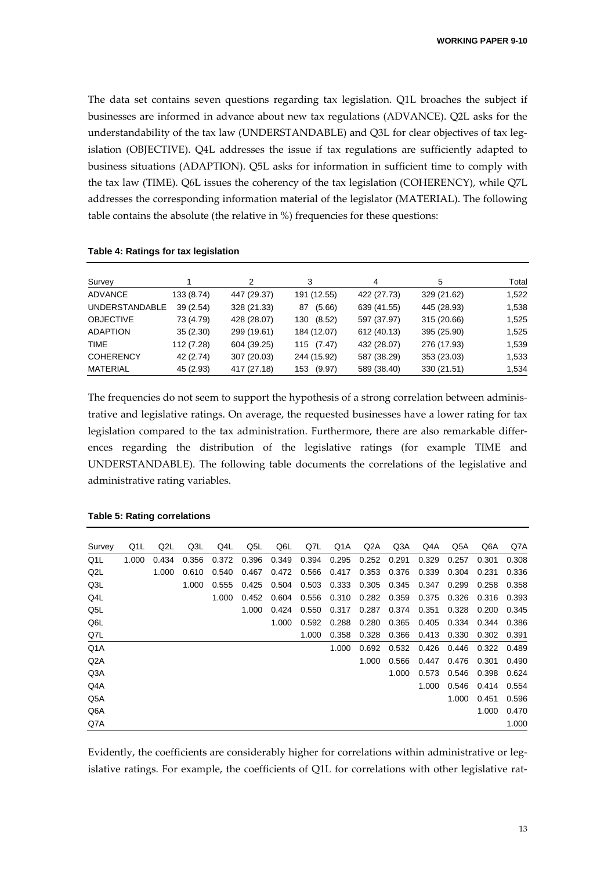The data set contains seven questions regarding tax legislation. Q1L broaches the subject if businesses are informed in advance about new tax regulations (ADVANCE). Q2L asks for the understandability of the tax law (UNDERSTANDABLE) and Q3L for clear objectives of tax legislation (OBJECTIVE). Q4L addresses the issue if tax regulations are sufficiently adapted to business situations (ADAPTION). Q5L asks for information in sufficient time to comply with the tax law (TIME). Q6L issues the coherency of the tax legislation (COHERENCY), while Q7L addresses the corresponding information material of the legislator (MATERIAL). The following table contains the absolute (the relative in %) frequencies for these questions:

| Survey                |            | 2           | 3             | 4           | 5           | Total |
|-----------------------|------------|-------------|---------------|-------------|-------------|-------|
| ADVANCE               | 133 (8.74) | 447 (29.37) | 191 (12.55)   | 422 (27.73) | 329 (21.62) | 1,522 |
| <b>UNDERSTANDABLE</b> | 39 (2.54)  | 328 (21.33) | (5.66)<br>87  | 639 (41.55) | 445 (28.93) | 1,538 |
| <b>OBJECTIVE</b>      | 73 (4.79)  | 428 (28.07) | (8.52)<br>130 | 597 (37.97) | 315 (20.66) | 1,525 |
| <b>ADAPTION</b>       | 35(2.30)   | 299 (19.61) | 184 (12.07)   | 612 (40.13) | 395 (25.90) | 1,525 |
| <b>TIME</b>           | 112 (7.28) | 604 (39.25) | 115 (7.47)    | 432 (28.07) | 276 (17.93) | 1,539 |
| <b>COHERENCY</b>      | 42 (2.74)  | 307 (20.03) | 244 (15.92)   | 587 (38.29) | 353 (23.03) | 1,533 |
| <b>MATERIAL</b>       | 45 (2.93)  | 417 (27.18) | (9.97)<br>153 | 589 (38.40) | 330 (21.51) | 1,534 |

The frequencies do not seem to support the hypothesis of a strong correlation between administrative and legislative ratings. On average, the requested businesses have a lower rating for tax legislation compared to the tax administration. Furthermore, there are also remarkable differences regarding the distribution of the legislative ratings (for example TIME and UNDERSTANDABLE). The following table documents the correlations of the legislative and administrative rating variables.

| Survey           | Q1L   | Q2L   | Q3L   | Q4L   | Q5L   | Q6L   | Q7L   | Q1A   | Q2A         | Q3A   | Q4A               | Q5A   | Q6A   | Q7A   |
|------------------|-------|-------|-------|-------|-------|-------|-------|-------|-------------|-------|-------------------|-------|-------|-------|
| Q <sub>1</sub> L | 1.000 | 0.434 | 0.356 | 0.372 | 0.396 | 0.349 | 0.394 | 0.295 | 0.252       | 0.291 | 0.329             | 0.257 | 0.301 | 0.308 |
| Q2L              |       | 1.000 | 0.610 | 0.540 | 0.467 | 0.472 | 0.566 | 0.417 | 0.353       | 0.376 | 0.339             | 0.304 | 0.231 | 0.336 |
| Q3L              |       |       | 1.000 | 0.555 | 0.425 | 0.504 | 0.503 | 0.333 | 0.305       | 0.345 | 0.347             | 0.299 | 0.258 | 0.358 |
| Q4L              |       |       |       | 1.000 | 0.452 | 0.604 | 0.556 | 0.310 | 0.282 0.359 |       | 0.375             | 0.326 | 0.316 | 0.393 |
| Q5L              |       |       |       |       | 1.000 | 0.424 | 0.550 | 0.317 | 0.287       | 0.374 | 0.351             | 0.328 | 0.200 | 0.345 |
| Q6L              |       |       |       |       |       | 1.000 | 0.592 | 0.288 | 0.280       | 0.365 | 0.405             | 0.334 | 0.344 | 0.386 |
| Q7L              |       |       |       |       |       |       | 1.000 | 0.358 | 0.328       | 0.366 | 0.413             | 0.330 | 0.302 | 0.391 |
| Q1A              |       |       |       |       |       |       |       | 1.000 | 0.692       |       | 0.532 0.426 0.446 |       | 0.322 | 0.489 |
| Q2A              |       |       |       |       |       |       |       |       | 1.000       | 0.566 | 0.447             | 0.476 | 0.301 | 0.490 |
| Q3A              |       |       |       |       |       |       |       |       |             | 1.000 | 0.573             | 0.546 | 0.398 | 0.624 |
| Q4A              |       |       |       |       |       |       |       |       |             |       | 1.000             | 0.546 | 0.414 | 0.554 |
| Q5A              |       |       |       |       |       |       |       |       |             |       |                   | 1.000 | 0.451 | 0.596 |
| Q6A              |       |       |       |       |       |       |       |       |             |       |                   |       | 1.000 | 0.470 |
| Q7A              |       |       |       |       |       |       |       |       |             |       |                   |       |       | 1.000 |

**Table 5: Rating correlations** 

Evidently, the coefficients are considerably higher for correlations within administrative or legislative ratings. For example, the coefficients of Q1L for correlations with other legislative rat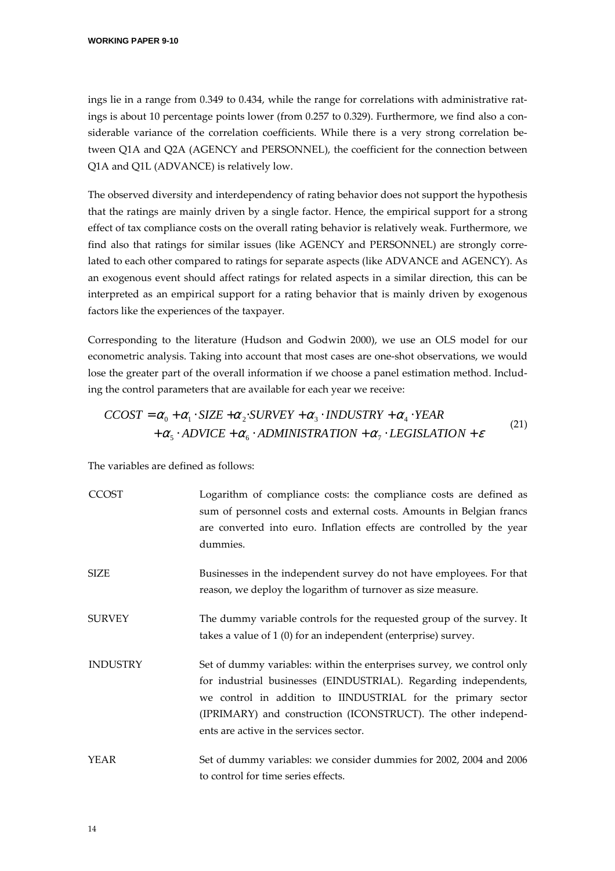ings lie in a range from 0.349 to 0.434, while the range for correlations with administrative ratings is about 10 percentage points lower (from 0.257 to 0.329). Furthermore, we find also a considerable variance of the correlation coefficients. While there is a very strong correlation between Q1A and Q2A (AGENCY and PERSONNEL), the coefficient for the connection between Q1A and Q1L (ADVANCE) is relatively low.

The observed diversity and interdependency of rating behavior does not support the hypothesis that the ratings are mainly driven by a single factor. Hence, the empirical support for a strong effect of tax compliance costs on the overall rating behavior is relatively weak. Furthermore, we find also that ratings for similar issues (like AGENCY and PERSONNEL) are strongly correlated to each other compared to ratings for separate aspects (like ADVANCE and AGENCY). As an exogenous event should affect ratings for related aspects in a similar direction, this can be interpreted as an empirical support for a rating behavior that is mainly driven by exogenous factors like the experiences of the taxpayer.

Corresponding to the literature (Hudson and Godwin 2000), we use an OLS model for our econometric analysis. Taking into account that most cases are one-shot observations, we would lose the greater part of the overall information if we choose a panel estimation method. Including the control parameters that are available for each year we receive:

$$
CCOST = \alpha_0 + \alpha_1 \cdot SIZE + \alpha_2 \cdot SURVEY + \alpha_3 \cdot INDUSTRY + \alpha_4 \cdot YEAR
$$
  
+ 
$$
\alpha_5 \cdot ADVICE + \alpha_6 \cdot ADMINISTRA TION + \alpha_7 \cdot LEGISLATION + \varepsilon
$$
 (21)

The variables are defined as follows:

| <b>CCOST</b>    | Logarithm of compliance costs: the compliance costs are defined as<br>sum of personnel costs and external costs. Amounts in Belgian francs<br>are converted into euro. Inflation effects are controlled by the year<br>dummies.                                                                                        |
|-----------------|------------------------------------------------------------------------------------------------------------------------------------------------------------------------------------------------------------------------------------------------------------------------------------------------------------------------|
| <b>SIZE</b>     | Businesses in the independent survey do not have employees. For that<br>reason, we deploy the logarithm of turnover as size measure.                                                                                                                                                                                   |
| <b>SURVEY</b>   | The dummy variable controls for the requested group of the survey. It<br>takes a value of 1 (0) for an independent (enterprise) survey.                                                                                                                                                                                |
| <b>INDUSTRY</b> | Set of dummy variables: within the enterprises survey, we control only<br>for industrial businesses (EINDUSTRIAL). Regarding independents,<br>we control in addition to IINDUSTRIAL for the primary sector<br>(IPRIMARY) and construction (ICONSTRUCT). The other independ-<br>ents are active in the services sector. |
| YEAR            | Set of dummy variables: we consider dummies for 2002, 2004 and 2006<br>to control for time series effects.                                                                                                                                                                                                             |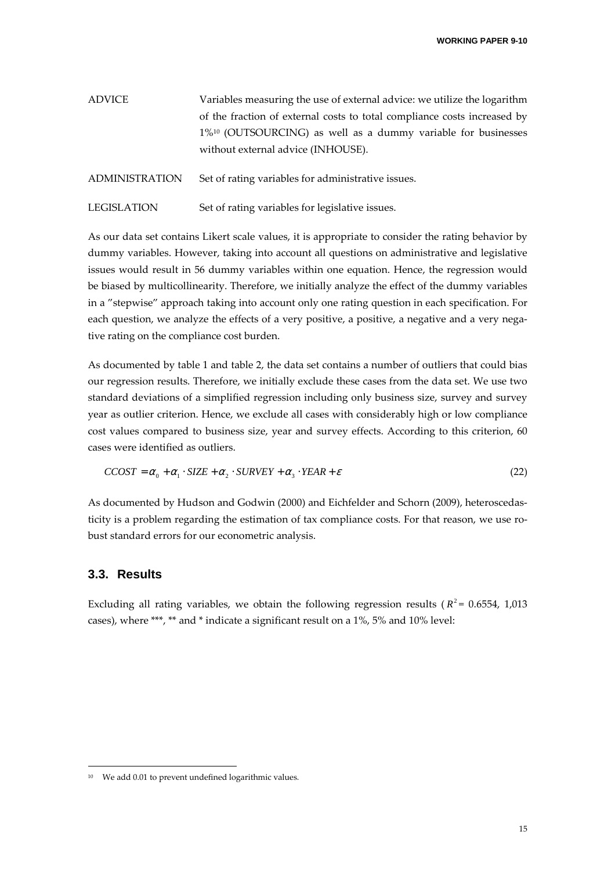| ADVICE | Variables measuring the use of external advice: we utilize the logarithm  |
|--------|---------------------------------------------------------------------------|
|        | of the fraction of external costs to total compliance costs increased by  |
|        | 1% <sup>10</sup> (OUTSOURCING) as well as a dummy variable for businesses |
|        | without external advice (INHOUSE).                                        |
|        |                                                                           |

ADMINISTRATION Set of rating variables for administrative issues.

LEGISLATION Set of rating variables for legislative issues.

As our data set contains Likert scale values, it is appropriate to consider the rating behavior by dummy variables. However, taking into account all questions on administrative and legislative issues would result in 56 dummy variables within one equation. Hence, the regression would be biased by multicollinearity. Therefore, we initially analyze the effect of the dummy variables in a "stepwise" approach taking into account only one rating question in each specification. For each question, we analyze the effects of a very positive, a positive, a negative and a very negative rating on the compliance cost burden.

As documented by table 1 and table 2, the data set contains a number of outliers that could bias our regression results. Therefore, we initially exclude these cases from the data set. We use two standard deviations of a simplified regression including only business size, survey and survey year as outlier criterion. Hence, we exclude all cases with considerably high or low compliance cost values compared to business size, year and survey effects. According to this criterion, 60 cases were identified as outliers.

$$
CCOST = \alpha_0 + \alpha_1 \cdot SIZE + \alpha_2 \cdot SURVEY + \alpha_3 \cdot YEAR + \varepsilon
$$
\n(22)

As documented by Hudson and Godwin (2000) and Eichfelder and Schorn (2009), heteroscedasticity is a problem regarding the estimation of tax compliance costs. For that reason, we use robust standard errors for our econometric analysis.

#### **3.3. Results**

j

Excluding all rating variables, we obtain the following regression results ( $R^2$  = 0.6554, 1,013 cases), where \*\*\*, \*\* and \* indicate a significant result on a 1%, 5% and 10% level:

<sup>&</sup>lt;sup>10</sup> We add 0.01 to prevent undefined logarithmic values.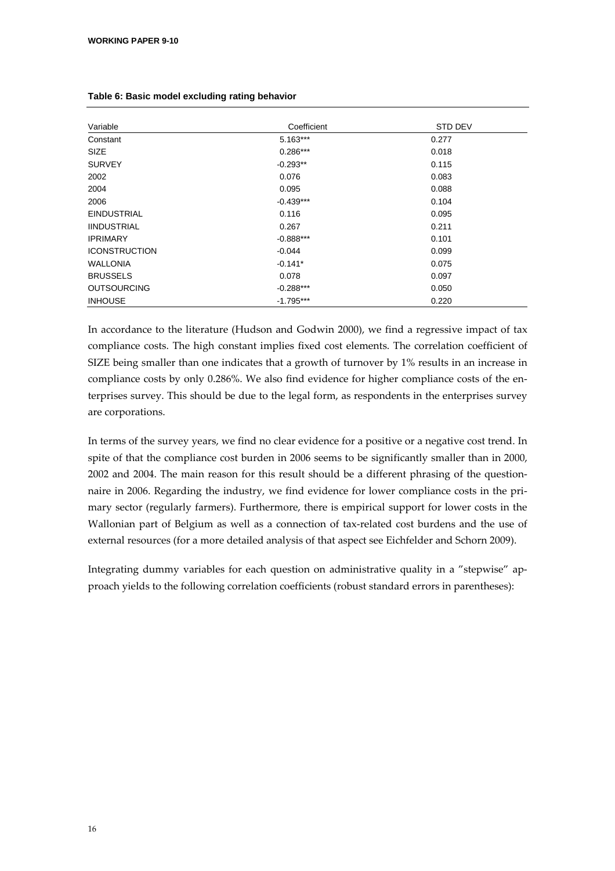| Variable             | Coefficient | <b>STD DEV</b> |
|----------------------|-------------|----------------|
| Constant             | $5.163***$  | 0.277          |
| <b>SIZE</b>          | $0.286***$  | 0.018          |
| <b>SURVEY</b>        | $-0.293**$  | 0.115          |
| 2002                 | 0.076       | 0.083          |
| 2004                 | 0.095       | 0.088          |
| 2006                 | $-0.439***$ | 0.104          |
| <b>EINDUSTRIAL</b>   | 0.116       | 0.095          |
| <b>IINDUSTRIAL</b>   | 0.267       | 0.211          |
| <b>IPRIMARY</b>      | $-0.888***$ | 0.101          |
| <b>ICONSTRUCTION</b> | $-0.044$    | 0.099          |
| <b>WALLONIA</b>      | $-0.141*$   | 0.075          |
| <b>BRUSSELS</b>      | 0.078       | 0.097          |
| <b>OUTSOURCING</b>   | $-0.288***$ | 0.050          |
| <b>INHOUSE</b>       | $-1.795***$ | 0.220          |

#### **Table 6: Basic model excluding rating behavior**

In accordance to the literature (Hudson and Godwin 2000), we find a regressive impact of tax compliance costs. The high constant implies fixed cost elements. The correlation coefficient of SIZE being smaller than one indicates that a growth of turnover by 1% results in an increase in compliance costs by only 0.286%. We also find evidence for higher compliance costs of the enterprises survey. This should be due to the legal form, as respondents in the enterprises survey are corporations.

In terms of the survey years, we find no clear evidence for a positive or a negative cost trend. In spite of that the compliance cost burden in 2006 seems to be significantly smaller than in 2000, 2002 and 2004. The main reason for this result should be a different phrasing of the questionnaire in 2006. Regarding the industry, we find evidence for lower compliance costs in the primary sector (regularly farmers). Furthermore, there is empirical support for lower costs in the Wallonian part of Belgium as well as a connection of tax-related cost burdens and the use of external resources (for a more detailed analysis of that aspect see Eichfelder and Schorn 2009).

Integrating dummy variables for each question on administrative quality in a "stepwise" approach yields to the following correlation coefficients (robust standard errors in parentheses):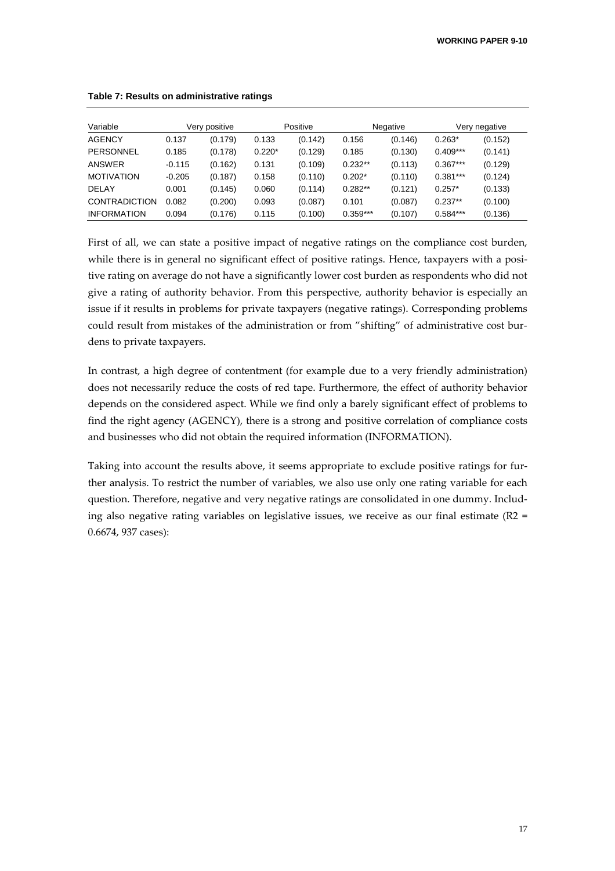| Variable             |          | Very positive |          | Positive |            | Negative |            | Very negative |
|----------------------|----------|---------------|----------|----------|------------|----------|------------|---------------|
| <b>AGENCY</b>        | 0.137    | (0.179)       | 0.133    | (0.142)  | 0.156      | (0.146)  | $0.263*$   | (0.152)       |
| <b>PERSONNEL</b>     | 0.185    | (0.178)       | $0.220*$ | (0.129)  | 0.185      | (0.130)  | $0.409***$ | (0.141)       |
| <b>ANSWER</b>        | $-0.115$ | (0.162)       | 0.131    | (0.109)  | $0.232**$  | (0.113)  | $0.367***$ | (0.129)       |
| <b>MOTIVATION</b>    | $-0.205$ | (0.187)       | 0.158    | (0.110)  | $0.202*$   | (0.110)  | $0.381***$ | (0.124)       |
| <b>DELAY</b>         | 0.001    | (0.145)       | 0.060    | (0.114)  | $0.282**$  | (0.121)  | $0.257*$   | (0.133)       |
| <b>CONTRADICTION</b> | 0.082    | (0.200)       | 0.093    | (0.087)  | 0.101      | (0.087)  | $0.237**$  | (0.100)       |
| <b>INFORMATION</b>   | 0.094    | (0.176)       | 0.115    | (0.100)  | $0.359***$ | (0.107)  | $0.584***$ | (0.136)       |

#### **Table 7: Results on administrative ratings**

First of all, we can state a positive impact of negative ratings on the compliance cost burden, while there is in general no significant effect of positive ratings. Hence, taxpayers with a positive rating on average do not have a significantly lower cost burden as respondents who did not give a rating of authority behavior. From this perspective, authority behavior is especially an issue if it results in problems for private taxpayers (negative ratings). Corresponding problems could result from mistakes of the administration or from "shifting" of administrative cost burdens to private taxpayers.

In contrast, a high degree of contentment (for example due to a very friendly administration) does not necessarily reduce the costs of red tape. Furthermore, the effect of authority behavior depends on the considered aspect. While we find only a barely significant effect of problems to find the right agency (AGENCY), there is a strong and positive correlation of compliance costs and businesses who did not obtain the required information (INFORMATION).

Taking into account the results above, it seems appropriate to exclude positive ratings for further analysis. To restrict the number of variables, we also use only one rating variable for each question. Therefore, negative and very negative ratings are consolidated in one dummy. Including also negative rating variables on legislative issues, we receive as our final estimate ( $R2 =$ 0.6674, 937 cases):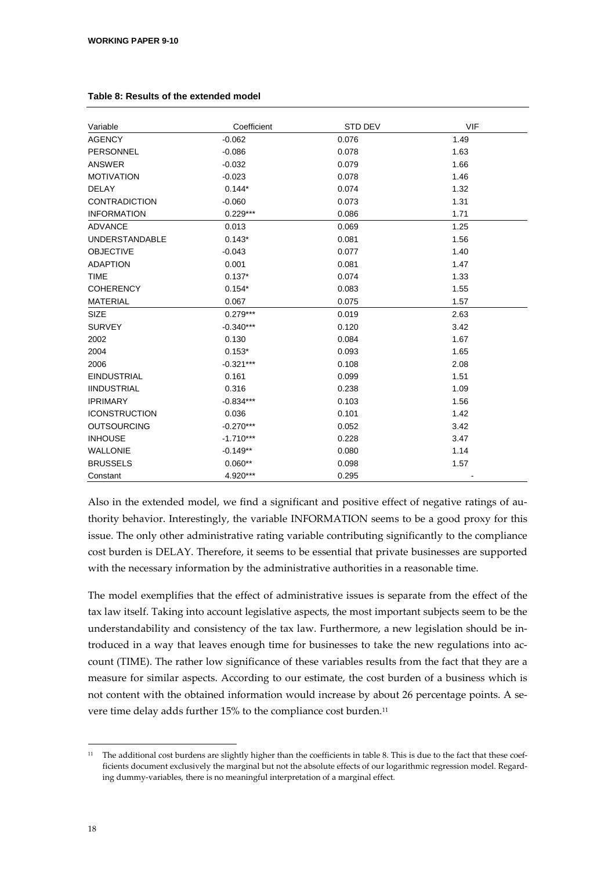| Variable              | Coefficient | <b>STD DEV</b> | <b>VIF</b> |
|-----------------------|-------------|----------------|------------|
| <b>AGENCY</b>         | $-0.062$    | 0.076          | 1.49       |
| PERSONNEL             | $-0.086$    | 0.078          | 1.63       |
| ANSWER                | $-0.032$    | 0.079          | 1.66       |
| <b>MOTIVATION</b>     | $-0.023$    | 0.078          | 1.46       |
| <b>DELAY</b>          | $0.144*$    | 0.074          | 1.32       |
| <b>CONTRADICTION</b>  | $-0.060$    | 0.073          | 1.31       |
| <b>INFORMATION</b>    | $0.229***$  | 0.086          | 1.71       |
| <b>ADVANCE</b>        | 0.013       | 0.069          | 1.25       |
| <b>UNDERSTANDABLE</b> | $0.143*$    | 0.081          | 1.56       |
| <b>OBJECTIVE</b>      | $-0.043$    | 0.077          | 1.40       |
| <b>ADAPTION</b>       | 0.001       | 0.081          | 1.47       |
| <b>TIME</b>           | $0.137*$    | 0.074          | 1.33       |
| <b>COHERENCY</b>      | $0.154*$    | 0.083          | 1.55       |
| <b>MATERIAL</b>       | 0.067       | 0.075          | 1.57       |
| <b>SIZE</b>           | $0.279***$  | 0.019          | 2.63       |
| <b>SURVEY</b>         | $-0.340***$ | 0.120          | 3.42       |
| 2002                  | 0.130       | 0.084          | 1.67       |
| 2004                  | $0.153*$    | 0.093          | 1.65       |
| 2006                  | $-0.321***$ | 0.108          | 2.08       |
| <b>EINDUSTRIAL</b>    | 0.161       | 0.099          | 1.51       |
| <b>IINDUSTRIAL</b>    | 0.316       | 0.238          | 1.09       |
| <b>IPRIMARY</b>       | $-0.834***$ | 0.103          | 1.56       |
| <b>ICONSTRUCTION</b>  | 0.036       | 0.101          | 1.42       |
| <b>OUTSOURCING</b>    | $-0.270***$ | 0.052          | 3.42       |
| <b>INHOUSE</b>        | $-1.710***$ | 0.228          | 3.47       |
| <b>WALLONIE</b>       | $-0.149**$  | 0.080          | 1.14       |
| <b>BRUSSELS</b>       | $0.060**$   | 0.098          | 1.57       |
| Constant              | 4.920***    | 0.295          |            |

#### **Table 8: Results of the extended model**

Also in the extended model, we find a significant and positive effect of negative ratings of authority behavior. Interestingly, the variable INFORMATION seems to be a good proxy for this issue. The only other administrative rating variable contributing significantly to the compliance cost burden is DELAY. Therefore, it seems to be essential that private businesses are supported with the necessary information by the administrative authorities in a reasonable time.

The model exemplifies that the effect of administrative issues is separate from the effect of the tax law itself. Taking into account legislative aspects, the most important subjects seem to be the understandability and consistency of the tax law. Furthermore, a new legislation should be introduced in a way that leaves enough time for businesses to take the new regulations into account (TIME). The rather low significance of these variables results from the fact that they are a measure for similar aspects. According to our estimate, the cost burden of a business which is not content with the obtained information would increase by about 26 percentage points. A severe time delay adds further 15% to the compliance cost burden.<sup>11</sup>

-

 $11$  The additional cost burdens are slightly higher than the coefficients in table 8. This is due to the fact that these coefficients document exclusively the marginal but not the absolute effects of our logarithmic regression model. Regarding dummy-variables, there is no meaningful interpretation of a marginal effect.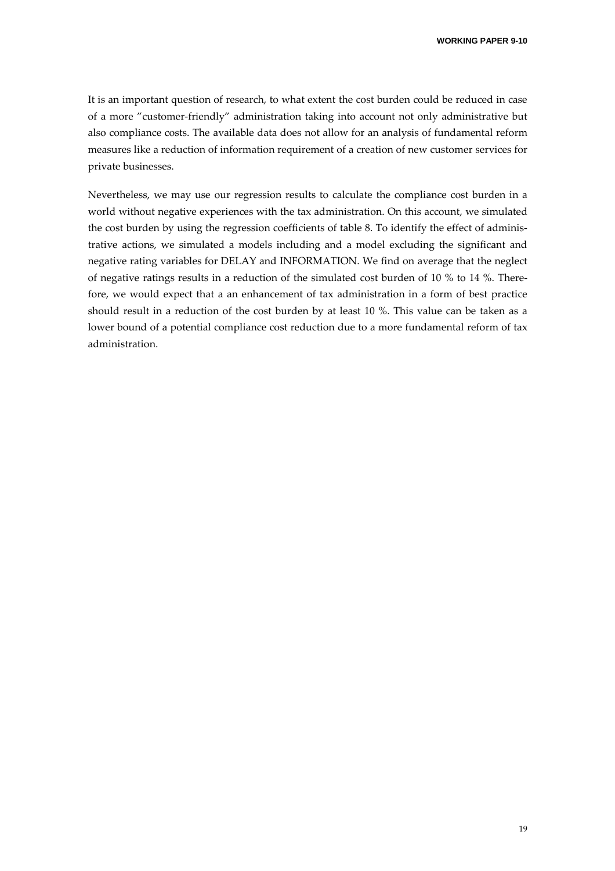It is an important question of research, to what extent the cost burden could be reduced in case of a more "customer-friendly" administration taking into account not only administrative but also compliance costs. The available data does not allow for an analysis of fundamental reform measures like a reduction of information requirement of a creation of new customer services for private businesses.

Nevertheless, we may use our regression results to calculate the compliance cost burden in a world without negative experiences with the tax administration. On this account, we simulated the cost burden by using the regression coefficients of table 8. To identify the effect of administrative actions, we simulated a models including and a model excluding the significant and negative rating variables for DELAY and INFORMATION. We find on average that the neglect of negative ratings results in a reduction of the simulated cost burden of 10 % to 14 %. Therefore, we would expect that a an enhancement of tax administration in a form of best practice should result in a reduction of the cost burden by at least 10 %. This value can be taken as a lower bound of a potential compliance cost reduction due to a more fundamental reform of tax administration.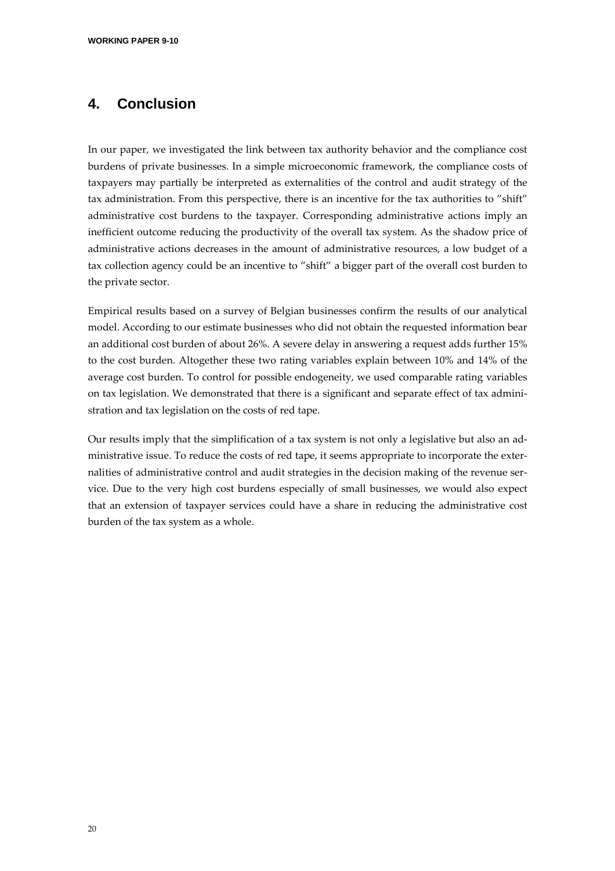### **4. Conclusion**

In our paper, we investigated the link between tax authority behavior and the compliance cost burdens of private businesses. In a simple microeconomic framework, the compliance costs of taxpayers may partially be interpreted as externalities of the control and audit strategy of the tax administration. From this perspective, there is an incentive for the tax authorities to "shift" administrative cost burdens to the taxpayer. Corresponding administrative actions imply an inefficient outcome reducing the productivity of the overall tax system. As the shadow price of administrative actions decreases in the amount of administrative resources, a low budget of a tax collection agency could be an incentive to "shift" a bigger part of the overall cost burden to the private sector.

Empirical results based on a survey of Belgian businesses confirm the results of our analytical model. According to our estimate businesses who did not obtain the requested information bear an additional cost burden of about 26%. A severe delay in answering a request adds further 15% to the cost burden. Altogether these two rating variables explain between 10% and 14% of the average cost burden. To control for possible endogeneity, we used comparable rating variables on tax legislation. We demonstrated that there is a significant and separate effect of tax administration and tax legislation on the costs of red tape.

Our results imply that the simplification of a tax system is not only a legislative but also an administrative issue. To reduce the costs of red tape, it seems appropriate to incorporate the externalities of administrative control and audit strategies in the decision making of the revenue service. Due to the very high cost burdens especially of small businesses, we would also expect that an extension of taxpayer services could have a share in reducing the administrative cost burden of the tax system as a whole.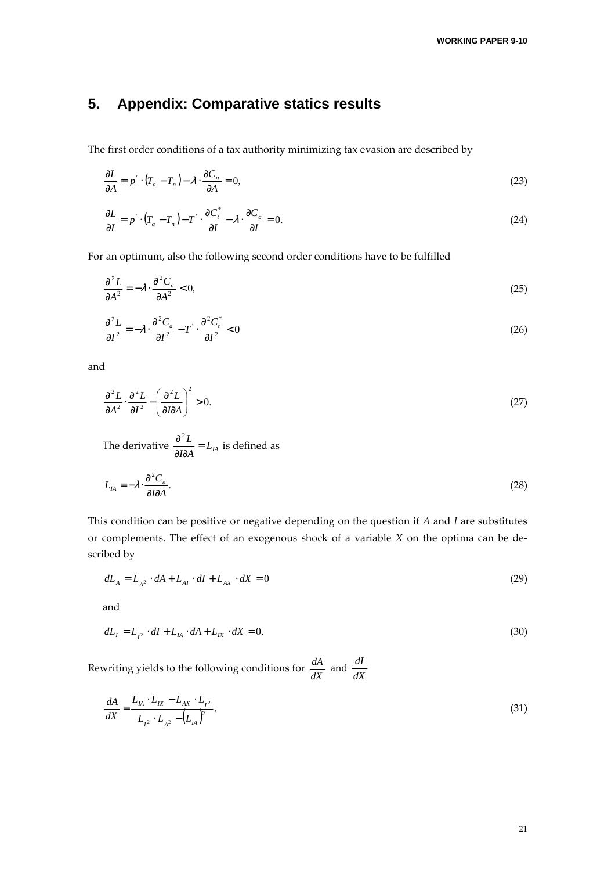### **5. Appendix: Comparative statics results**

The first order conditions of a tax authority minimizing tax evasion are described by

$$
\frac{\partial L}{\partial A} = p \cdot (T_a - T_n) - \lambda \cdot \frac{\partial C_a}{\partial A} = 0,
$$
\n(23)

$$
\frac{\partial L}{\partial I} = p \cdot (T_a - T_n) - T \cdot \frac{\partial C_i^*}{\partial I} - \lambda \cdot \frac{\partial C_a}{\partial I} = 0.
$$
\n(24)

For an optimum, also the following second order conditions have to be fulfilled

$$
\frac{\partial^2 L}{\partial A^2} = -\lambda \cdot \frac{\partial^2 C_a}{\partial A^2} < 0,\tag{25}
$$

$$
\frac{\partial^2 L}{\partial I^2} = -\lambda \cdot \frac{\partial^2 C_a}{\partial I^2} - T' \cdot \frac{\partial^2 C_t^*}{\partial I^2} < 0 \tag{26}
$$

and

$$
\frac{\partial^2 L}{\partial A^2} \cdot \frac{\partial^2 L}{\partial I^2} - \left(\frac{\partial^2 L}{\partial I \partial A}\right)^2 > 0.
$$
\n(27)

The derivative 
$$
\frac{\partial^2 L}{\partial I \partial A} = L_{IA}
$$
 is defined as

$$
L_{IA} = -\lambda \cdot \frac{\partial^2 C_a}{\partial I \partial A}.
$$
 (28)

This condition can be positive or negative depending on the question if *A* and *I* are substitutes or complements. The effect of an exogenous shock of a variable *X* on the optima can be described by

$$
dL_A = L_{A^2} \cdot dA + L_{AI} \cdot dI + L_{AX} \cdot dX = 0 \tag{29}
$$

and

$$
dL_{I} = L_{I^{2}} \cdot dI + L_{IA} \cdot dA + L_{IX} \cdot dX = 0.
$$
\n(30)

Rewriting yields to the following conditions for  $\frac{dA}{dX}$  and  $\frac{dI}{dX}$ *dI*

$$
\frac{dA}{dX} = \frac{L_{IA} \cdot L_{IX} - L_{AX} \cdot L_{I^2}}{L_{I^2} \cdot L_{A^2} - (L_{IA})^2},\tag{31}
$$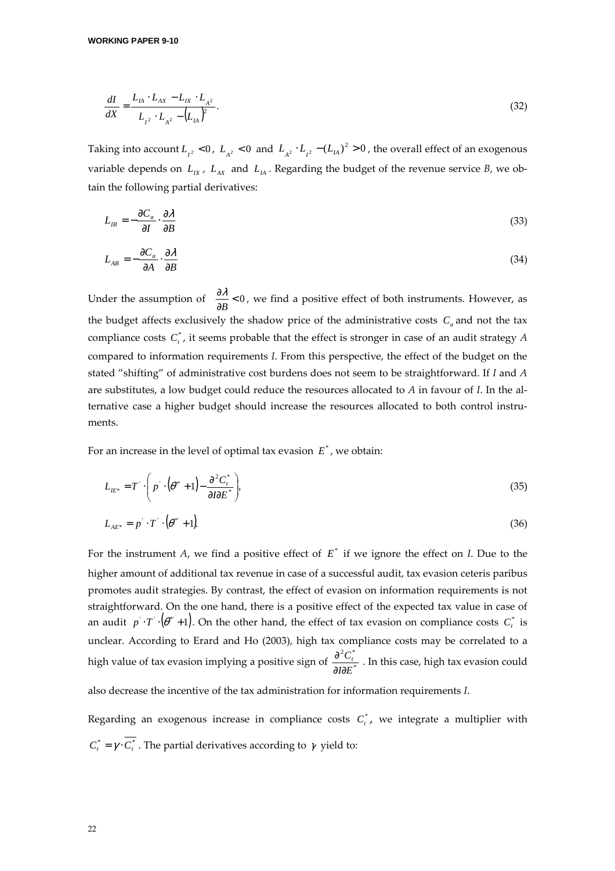$$
\frac{dI}{dX} = \frac{L_{IA} \cdot L_{AX} - L_{IX} \cdot L_{A^2}}{L_{I^2} \cdot L_{A^2} - (L_{IA})^2}.
$$
\n(32)

Taking into account  $L_{I^2}$  < 0,  $L_{A^2}$  < 0 and  $L_{A^2} \cdot L_{I^2} - (L_{IA})^2 > 0$ , the overall effect of an exogenous variable depends on  $L_{IX}$ ,  $L_{AX}$  and  $L_{IA}$ . Regarding the budget of the revenue service *B*, we obtain the following partial derivatives:

$$
L_{IB} = -\frac{\partial C_a}{\partial I} \cdot \frac{\partial \lambda}{\partial B} \tag{33}
$$

$$
L_{AB} = -\frac{\partial C_a}{\partial A} \cdot \frac{\partial \lambda}{\partial B} \tag{34}
$$

Under the assumption of  $\frac{\partial X}{\partial B} < 0$ ∂ *B*  $\frac{\lambda}{\lambda}$  < 0, we find a positive effect of both instruments. However, as the budget affects exclusively the shadow price of the administrative costs  $C_a$  and not the tax compliance costs  $C_t^*$ , it seems probable that the effect is stronger in case of an audit strategy  $A$ compared to information requirements *I*. From this perspective, the effect of the budget on the stated "shifting" of administrative cost burdens does not seem to be straightforward. If *I* and *A* are substitutes, a low budget could reduce the resources allocated to *A* in favour of *I*. In the alternative case a higher budget should increase the resources allocated to both control instruments.

For an increase in the level of optimal tax evasion  $E^*$ , we obtain:

$$
L_{E^*} = T \cdot \left( p \cdot (\theta^* + 1) - \frac{\partial^2 C_t^*}{\partial I \partial E^*} \right),\tag{35}
$$

$$
L_{AE^*} = p \cdot T \cdot (\theta^* + 1) \tag{36}
$$

For the instrument *A*, we find a positive effect of  $E^*$  if we ignore the effect on *I*. Due to the higher amount of additional tax revenue in case of a successful audit, tax evasion ceteris paribus promotes audit strategies. By contrast, the effect of evasion on information requirements is not straightforward. On the one hand, there is a positive effect of the expected tax value in case of an audit  $p \cdot T \cdot (\theta^* + 1)$ . On the other hand, the effect of tax evasion on compliance costs  $C_t^*$  is unclear. According to Erard and Ho (2003), high tax compliance costs may be correlated to a high value of tax evasion implying a positive sign of  $\frac{1}{2}$  $2\alpha^*$ *I∂E*  $C_t^{\dagger}$ ∂∂  $\frac{\partial^2 C_i^*}{\partial \Omega \nabla^*}$  . In this case, high tax evasion could

also decrease the incentive of the tax administration for information requirements *I*.

Regarding an exogenous increase in compliance costs  $C_t^*$ , we integrate a multiplier with  $C_t^* = \gamma \cdot \overline{C_t^*}$ . The partial derivatives according to  $\gamma$  yield to: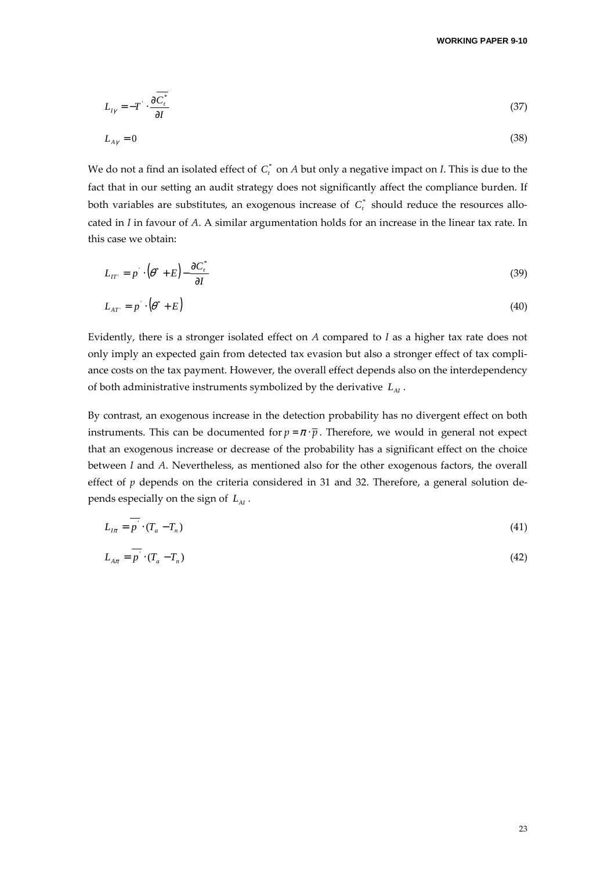$$
L_{I\gamma} = -T \cdot \frac{\partial \overline{C_i^*}}{\partial I} \tag{37}
$$

$$
L_{A\gamma} = 0 \tag{38}
$$

We do not a find an isolated effect of  $C^*_t$  on  $A$  but only a negative impact on *I*. This is due to the fact that in our setting an audit strategy does not significantly affect the compliance burden. If both variables are substitutes, an exogenous increase of  $\,C^{\ast}_{\iota}\,$  should reduce the resources allocated in *I* in favour of *A*. A similar argumentation holds for an increase in the linear tax rate. In this case we obtain:

$$
L_{IT'} = p \cdot (\theta^* + E) - \frac{\partial C_t^*}{\partial I} \tag{39}
$$

$$
L_{AT} = p \cdot (\theta^* + E) \tag{40}
$$

Evidently, there is a stronger isolated effect on *A* compared to *I* as a higher tax rate does not only imply an expected gain from detected tax evasion but also a stronger effect of tax compliance costs on the tax payment. However, the overall effect depends also on the interdependency of both administrative instruments symbolized by the derivative  $L_{\rm A}$ .

By contrast, an exogenous increase in the detection probability has no divergent effect on both instruments. This can be documented for  $p = \pi \cdot \overline{p}$ . Therefore, we would in general not expect that an exogenous increase or decrease of the probability has a significant effect on the choice between *I* and *A*. Nevertheless, as mentioned also for the other exogenous factors, the overall effect of *p* depends on the criteria considered in 31 and 32. Therefore, a general solution depends especially on the sign of *LAI* .

$$
L_{I\pi} = p \cdot (T_a - T_n) \tag{41}
$$

$$
L_{A\pi} = \overline{p} \cdot (T_a - T_n) \tag{42}
$$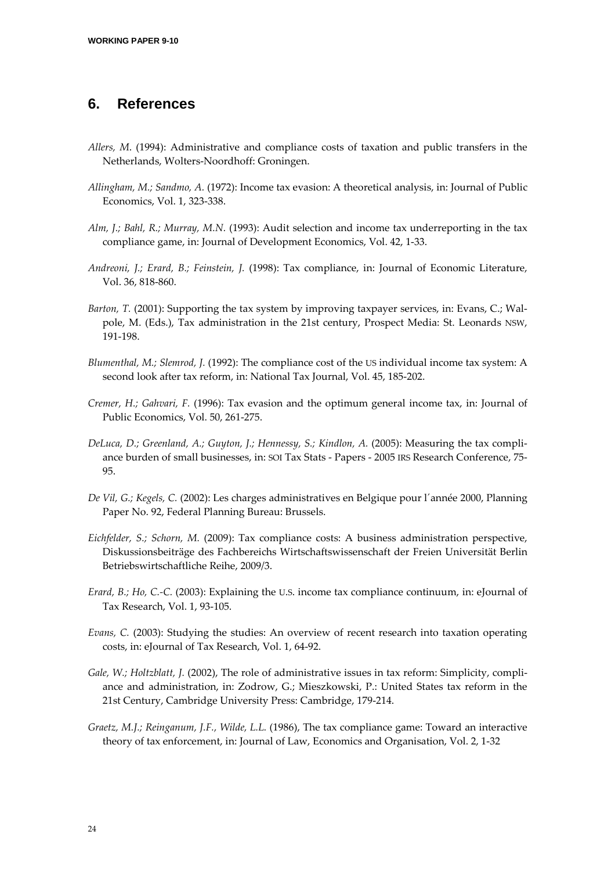### **6. References**

- *Allers, M*. (1994): Administrative and compliance costs of taxation and public transfers in the Netherlands, Wolters-Noordhoff: Groningen.
- *Allingham, M.; Sandmo, A.* (1972): Income tax evasion: A theoretical analysis, in: Journal of Public Economics, Vol. 1, 323-338.
- *Alm, J.; Bahl, R.; Murray, M.N.* (1993): Audit selection and income tax underreporting in the tax compliance game, in: Journal of Development Economics, Vol. 42, 1-33.
- *Andreoni, J.; Erard, B.; Feinstein, J.* (1998): Tax compliance, in: Journal of Economic Literature, Vol. 36, 818-860.
- *Barton, T.* (2001): Supporting the tax system by improving taxpayer services, in: Evans, C.; Walpole, M. (Eds.), Tax administration in the 21st century, Prospect Media: St. Leonards NSW, 191-198.
- *Blumenthal, M.; Slemrod, J.* (1992): The compliance cost of the US individual income tax system: A second look after tax reform, in: National Tax Journal, Vol. 45, 185-202.
- *Cremer, H.; Gahvari, F.* (1996): Tax evasion and the optimum general income tax, in: Journal of Public Economics, Vol. 50, 261-275.
- *DeLuca, D.; Greenland, A.; Guyton, J.; Hennessy, S.; Kindlon, A.* (2005): Measuring the tax compliance burden of small businesses, in: SOI Tax Stats - Papers - 2005 IRS Research Conference, 75- 95.
- *De Vil, G.; Kegels, C.* (2002): Les charges administratives en Belgique pour l´année 2000, Planning Paper No. 92, Federal Planning Bureau: Brussels.
- *Eichfelder, S.; Schorn, M.* (2009): Tax compliance costs: A business administration perspective, Diskussionsbeiträge des Fachbereichs Wirtschaftswissenschaft der Freien Universität Berlin Betriebswirtschaftliche Reihe, 2009/3.
- *Erard, B.; Ho, C.-C.* (2003): Explaining the U.S. income tax compliance continuum, in: eJournal of Tax Research, Vol. 1, 93-105.
- *Evans, C.* (2003): Studying the studies: An overview of recent research into taxation operating costs, in: eJournal of Tax Research, Vol. 1, 64-92.
- *Gale, W.; Holtzblatt, J.* (2002), The role of administrative issues in tax reform: Simplicity, compliance and administration, in: Zodrow, G.; Mieszkowski, P.: United States tax reform in the 21st Century, Cambridge University Press: Cambridge, 179-214.
- *Graetz, M.J.; Reinganum, J.F., Wilde, L.L.* (1986), The tax compliance game: Toward an interactive theory of tax enforcement, in: Journal of Law, Economics and Organisation, Vol. 2, 1-32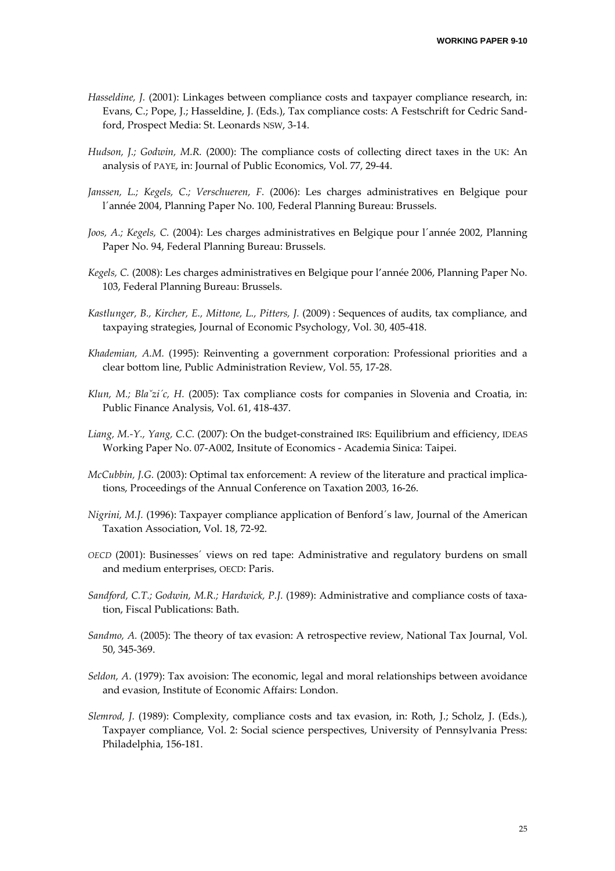- *Hasseldine, J.* (2001): Linkages between compliance costs and taxpayer compliance research, in: Evans, C.; Pope, J.; Hasseldine, J. (Eds.), Tax compliance costs: A Festschrift for Cedric Sandford, Prospect Media: St. Leonards NSW, 3-14.
- Hudson, J.; Godwin, M.R. (2000): The compliance costs of collecting direct taxes in the UK: An analysis of PAYE, in: Journal of Public Economics, Vol. 77, 29-44.
- *Janssen, L.; Kegels, C.; Verschueren, F.* (2006): Les charges administratives en Belgique pour l´année 2004, Planning Paper No. 100, Federal Planning Bureau: Brussels.
- *Joos, A.; Kegels, C.* (2004): Les charges administratives en Belgique pour l´année 2002, Planning Paper No. 94, Federal Planning Bureau: Brussels.
- *Kegels, C.* (2008): Les charges administratives en Belgique pour l'année 2006, Planning Paper No. 103, Federal Planning Bureau: Brussels.
- *Kastlunger, B., Kircher, E., Mittone, L., Pitters, J.* (2009) : Sequences of audits, tax compliance, and taxpaying strategies, Journal of Economic Psychology, Vol. 30, 405-418.
- *Khademian, A.M.* (1995): Reinventing a government corporation: Professional priorities and a clear bottom line, Public Administration Review, Vol. 55, 17-28.
- *Klun, M.; Blaˇzi´c, H.* (2005): Tax compliance costs for companies in Slovenia and Croatia, in: Public Finance Analysis, Vol. 61, 418-437.
- *Liang, M.-Y., Yang, C.C.* (2007): On the budget-constrained IRS: Equilibrium and efficiency, IDEAS Working Paper No. 07-A002, Insitute of Economics - Academia Sinica: Taipei.
- *McCubbin, J.G.* (2003): Optimal tax enforcement: A review of the literature and practical implications, Proceedings of the Annual Conference on Taxation 2003, 16-26.
- *Nigrini, M.J.* (1996): Taxpayer compliance application of Benford´s law, Journal of the American Taxation Association, Vol. 18, 72-92.
- *OECD* (2001): Businesses´ views on red tape: Administrative and regulatory burdens on small and medium enterprises, OECD: Paris.
- *Sandford, C.T.; Godwin, M.R.; Hardwick, P.J.* (1989): Administrative and compliance costs of taxation, Fiscal Publications: Bath.
- *Sandmo, A.* (2005): The theory of tax evasion: A retrospective review, National Tax Journal, Vol. 50, 345-369.
- *Seldon, A*. (1979): Tax avoision: The economic, legal and moral relationships between avoidance and evasion, Institute of Economic Affairs: London.
- *Slemrod, J.* (1989): Complexity, compliance costs and tax evasion, in: Roth, J.; Scholz, J. (Eds.), Taxpayer compliance, Vol. 2: Social science perspectives, University of Pennsylvania Press: Philadelphia, 156-181.